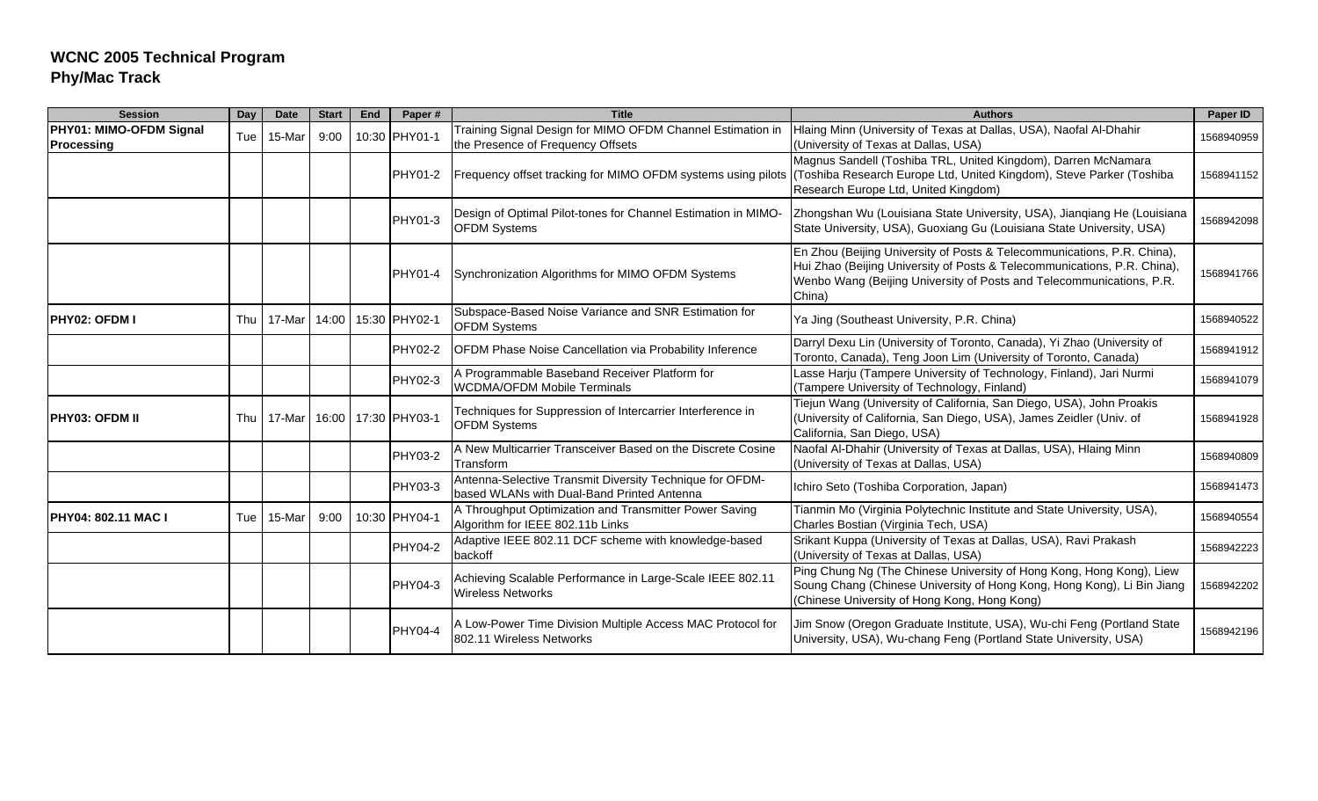| <b>Session</b>                        | Day | <b>Date</b> | <b>Start</b> | End | Paper#         | <b>Title</b>                                                                                           | <b>Authors</b>                                                                                                                                                                                                                        | Paper ID   |
|---------------------------------------|-----|-------------|--------------|-----|----------------|--------------------------------------------------------------------------------------------------------|---------------------------------------------------------------------------------------------------------------------------------------------------------------------------------------------------------------------------------------|------------|
| PHY01: MIMO-OFDM Signal<br>Processing | Tue | 15-Mar      | 9:00         |     | 10:30 PHY01-1  | Training Signal Design for MIMO OFDM Channel Estimation in<br>the Presence of Frequency Offsets        | Hlaing Minn (University of Texas at Dallas, USA), Naofal Al-Dhahir<br>(University of Texas at Dallas, USA)                                                                                                                            | 1568940959 |
|                                       |     |             |              |     | PHY01-2        | Frequency offset tracking for MIMO OFDM systems using pilots                                           | Magnus Sandell (Toshiba TRL, United Kingdom), Darren McNamara<br>(Toshiba Research Europe Ltd, United Kingdom), Steve Parker (Toshiba<br>Research Europe Ltd, United Kingdom)                                                         | 1568941152 |
|                                       |     |             |              |     | PHY01-3        | Design of Optimal Pilot-tones for Channel Estimation in MIMO-<br><b>OFDM Systems</b>                   | Zhongshan Wu (Louisiana State University, USA), Jianqiang He (Louisiana<br>State University, USA), Guoxiang Gu (Louisiana State University, USA)                                                                                      | 1568942098 |
|                                       |     |             |              |     | PHY01-4        | Synchronization Algorithms for MIMO OFDM Systems                                                       | En Zhou (Beijing University of Posts & Telecommunications, P.R. China),<br>Hui Zhao (Beijing University of Posts & Telecommunications, P.R. China),<br>Wenbo Wang (Beijing University of Posts and Telecommunications, P.R.<br>China) | 1568941766 |
| <b>IPHY02: OFDM I</b>                 | Thu | 17-Mar      | 14:00        |     | 15:30 PHY02-1  | Subspace-Based Noise Variance and SNR Estimation for<br><b>OFDM Systems</b>                            | Ya Jing (Southeast University, P.R. China)                                                                                                                                                                                            | 1568940522 |
|                                       |     |             |              |     | PHY02-2        | <b>OFDM Phase Noise Cancellation via Probability Inference</b>                                         | Darryl Dexu Lin (University of Toronto, Canada), Yi Zhao (University of<br>Toronto, Canada), Teng Joon Lim (University of Toronto, Canada)                                                                                            | 1568941912 |
|                                       |     |             |              |     | PHY02-3        | A Programmable Baseband Receiver Platform for<br><b>WCDMA/OFDM Mobile Terminals</b>                    | Lasse Harju (Tampere University of Technology, Finland), Jari Nurmi<br>(Tampere University of Technology, Finland)                                                                                                                    | 1568941079 |
| <b>IPHY03: OFDM II</b>                | Thu | 17-Mar      | 16:00        |     | 17:30 PHY03-1  | Techniques for Suppression of Intercarrier Interference in<br><b>OFDM Systems</b>                      | Tiejun Wang (University of California, San Diego, USA), John Proakis<br>(University of California, San Diego, USA), James Zeidler (Univ. of<br>California, San Diego, USA)                                                            | 1568941928 |
|                                       |     |             |              |     | PHY03-2        | A New Multicarrier Transceiver Based on the Discrete Cosine<br>Transform                               | Naofal Al-Dhahir (University of Texas at Dallas, USA), Hlaing Minn<br>(University of Texas at Dallas, USA)                                                                                                                            | 1568940809 |
|                                       |     |             |              |     | PHY03-3        | Antenna-Selective Transmit Diversity Technique for OFDM-<br>based WLANs with Dual-Band Printed Antenna | Ichiro Seto (Toshiba Corporation, Japan)                                                                                                                                                                                              | 1568941473 |
| <b>PHY04: 802.11 MAC I</b>            | Tue | 15-Mar      | 9:00         |     | 10:30 PHY04-1  | A Throughput Optimization and Transmitter Power Saving<br>Algorithm for IEEE 802.11b Links             | Tianmin Mo (Virginia Polytechnic Institute and State University, USA),<br>Charles Bostian (Virginia Tech, USA)                                                                                                                        | 1568940554 |
|                                       |     |             |              |     | PHY04-2        | Adaptive IEEE 802.11 DCF scheme with knowledge-based<br>backoff                                        | Srikant Kuppa (University of Texas at Dallas, USA), Ravi Prakash<br>(University of Texas at Dallas, USA)                                                                                                                              | 1568942223 |
|                                       |     |             |              |     | PHY04-3        | Achieving Scalable Performance in Large-Scale IEEE 802.11<br><b>Wireless Networks</b>                  | Ping Chung Ng (The Chinese University of Hong Kong, Hong Kong), Liew<br>Soung Chang (Chinese University of Hong Kong, Hong Kong), Li Bin Jiang<br>(Chinese University of Hong Kong, Hong Kong)                                        | 1568942202 |
|                                       |     |             |              |     | <b>PHY04-4</b> | A Low-Power Time Division Multiple Access MAC Protocol for<br>802.11 Wireless Networks                 | Jim Snow (Oregon Graduate Institute, USA), Wu-chi Feng (Portland State<br>University, USA), Wu-chang Feng (Portland State University, USA)                                                                                            | 1568942196 |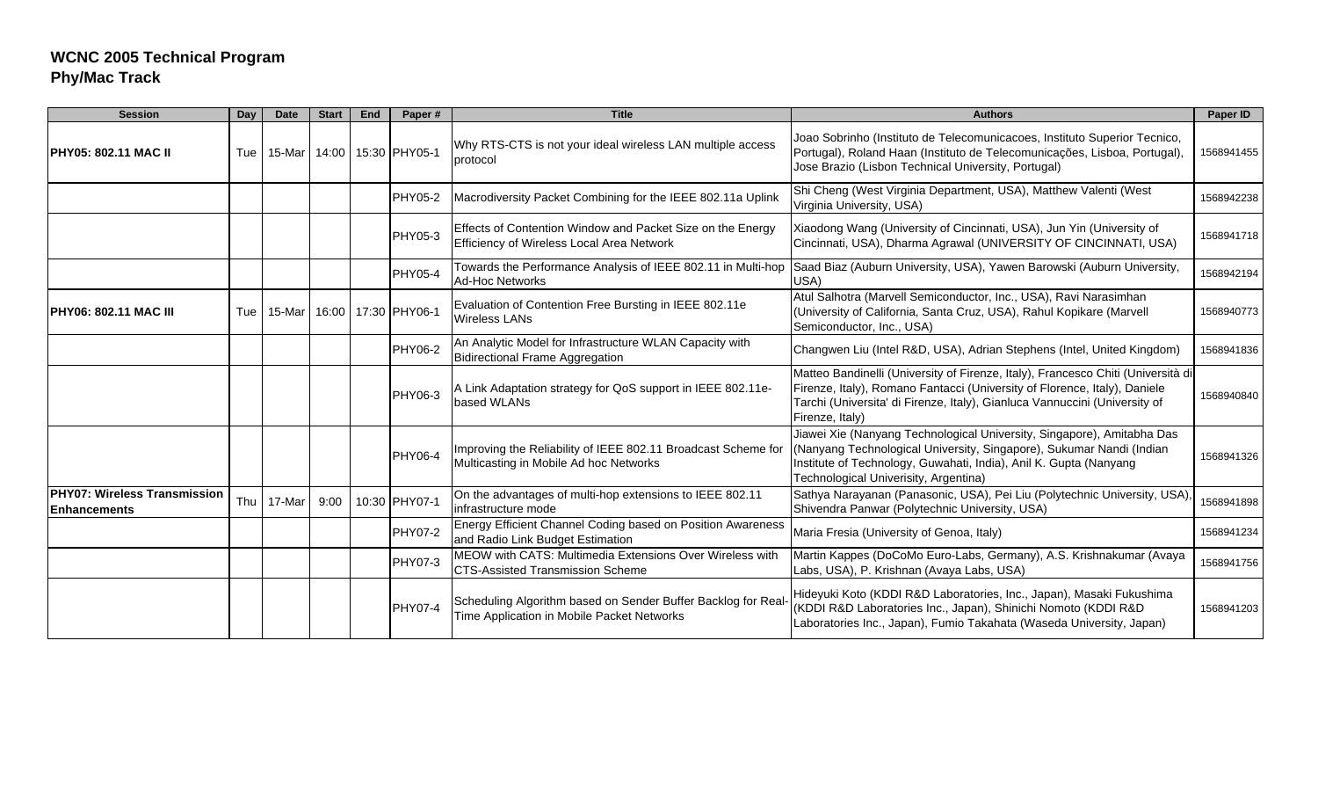| <b>Session</b>                                      | Day | <b>Date</b> | <b>Start</b> | End | Paper#              | <b>Title</b>                                                                                               | <b>Authors</b>                                                                                                                                                                                                                                                 | Paper ID   |
|-----------------------------------------------------|-----|-------------|--------------|-----|---------------------|------------------------------------------------------------------------------------------------------------|----------------------------------------------------------------------------------------------------------------------------------------------------------------------------------------------------------------------------------------------------------------|------------|
| <b>IPHY05: 802.11 MAC II</b>                        | Tue | 15-Mar      | 14:00        |     | 15:30 PHY05-1       | Why RTS-CTS is not your ideal wireless LAN multiple access<br>protocol                                     | Joao Sobrinho (Instituto de Telecomunicacoes, Instituto Superior Tecnico,<br>Portugal), Roland Haan (Instituto de Telecomunicações, Lisboa, Portugal),<br>Jose Brazio (Lisbon Technical University, Portugal)                                                  | 1568941455 |
|                                                     |     |             |              |     | PHY05-2             | Macrodiversity Packet Combining for the IEEE 802.11a Uplink                                                | Shi Cheng (West Virginia Department, USA), Matthew Valenti (West<br>Virginia University, USA)                                                                                                                                                                  | 1568942238 |
|                                                     |     |             |              |     | PHY05-3             | Effects of Contention Window and Packet Size on the Energy<br>Efficiency of Wireless Local Area Network    | Xiaodong Wang (University of Cincinnati, USA), Jun Yin (University of<br>Cincinnati, USA), Dharma Agrawal (UNIVERSITY OF CINCINNATI, USA)                                                                                                                      | 1568941718 |
|                                                     |     |             |              |     | PHY05-4             | Towards the Performance Analysis of IEEE 802.11 in Multi-hop<br><b>Ad-Hoc Networks</b>                     | Saad Biaz (Auburn University, USA), Yawen Barowski (Auburn University,<br>USA)                                                                                                                                                                                 | 1568942194 |
| <b>IPHY06: 802.11 MAC III</b>                       | Tue | 15-Mar      |              |     | 16:00 17:30 PHY06-1 | Evaluation of Contention Free Bursting in IEEE 802.11e<br><b>Wireless LANs</b>                             | Atul Salhotra (Marvell Semiconductor, Inc., USA), Ravi Narasimhan<br>(University of California, Santa Cruz, USA), Rahul Kopikare (Marvell<br>Semiconductor, Inc., USA)                                                                                         | 1568940773 |
|                                                     |     |             |              |     | PHY06-2             | An Analytic Model for Infrastructure WLAN Capacity with<br><b>Bidirectional Frame Aggregation</b>          | Changwen Liu (Intel R&D, USA), Adrian Stephens (Intel, United Kingdom)                                                                                                                                                                                         | 1568941836 |
|                                                     |     |             |              |     | PHY06-3             | A Link Adaptation strategy for QoS support in IEEE 802.11e-<br>based WLANs                                 | Matteo Bandinelli (University of Firenze, Italy), Francesco Chiti (Università di<br>Firenze, Italy), Romano Fantacci (University of Florence, Italy), Daniele<br>Tarchi (Universita' di Firenze, Italy), Gianluca Vannuccini (University of<br>Firenze, Italy) | 1568940840 |
|                                                     |     |             |              |     | PHY06-4             | Improving the Reliability of IEEE 802.11 Broadcast Scheme for<br>Multicasting in Mobile Ad hoc Networks    | Jiawei Xie (Nanyang Technological University, Singapore), Amitabha Das<br>(Nanyang Technological University, Singapore), Sukumar Nandi (Indian<br>Institute of Technology, Guwahati, India), Anil K. Gupta (Nanyang<br>Technological Univerisity, Argentina)   | 1568941326 |
| <b>PHY07: Wireless Transmission</b><br>Enhancements | Thu | 17-Mar      | 9:00         |     | 10:30 PHY07-1       | On the advantages of multi-hop extensions to IEEE 802.11<br>infrastructure mode                            | Sathya Narayanan (Panasonic, USA), Pei Liu (Polytechnic University, USA),<br>Shivendra Panwar (Polytechnic University, USA)                                                                                                                                    | 1568941898 |
|                                                     |     |             |              |     | <b>PHY07-2</b>      | Energy Efficient Channel Coding based on Position Awareness<br>and Radio Link Budget Estimation            | Maria Fresia (University of Genoa, Italy)                                                                                                                                                                                                                      | 1568941234 |
|                                                     |     |             |              |     | PHY07-3             | MEOW with CATS: Multimedia Extensions Over Wireless with<br><b>CTS-Assisted Transmission Scheme</b>        | Martin Kappes (DoCoMo Euro-Labs, Germany), A.S. Krishnakumar (Avaya<br>Labs, USA), P. Krishnan (Avaya Labs, USA)                                                                                                                                               | 1568941756 |
|                                                     |     |             |              |     | <b>PHY07-4</b>      | Scheduling Algorithm based on Sender Buffer Backlog for Real<br>Time Application in Mobile Packet Networks | Hideyuki Koto (KDDI R&D Laboratories, Inc., Japan), Masaki Fukushima<br>(KDDI R&D Laboratories Inc., Japan), Shinichi Nomoto (KDDI R&D<br>Laboratories Inc., Japan), Fumio Takahata (Waseda University, Japan)                                                 | 1568941203 |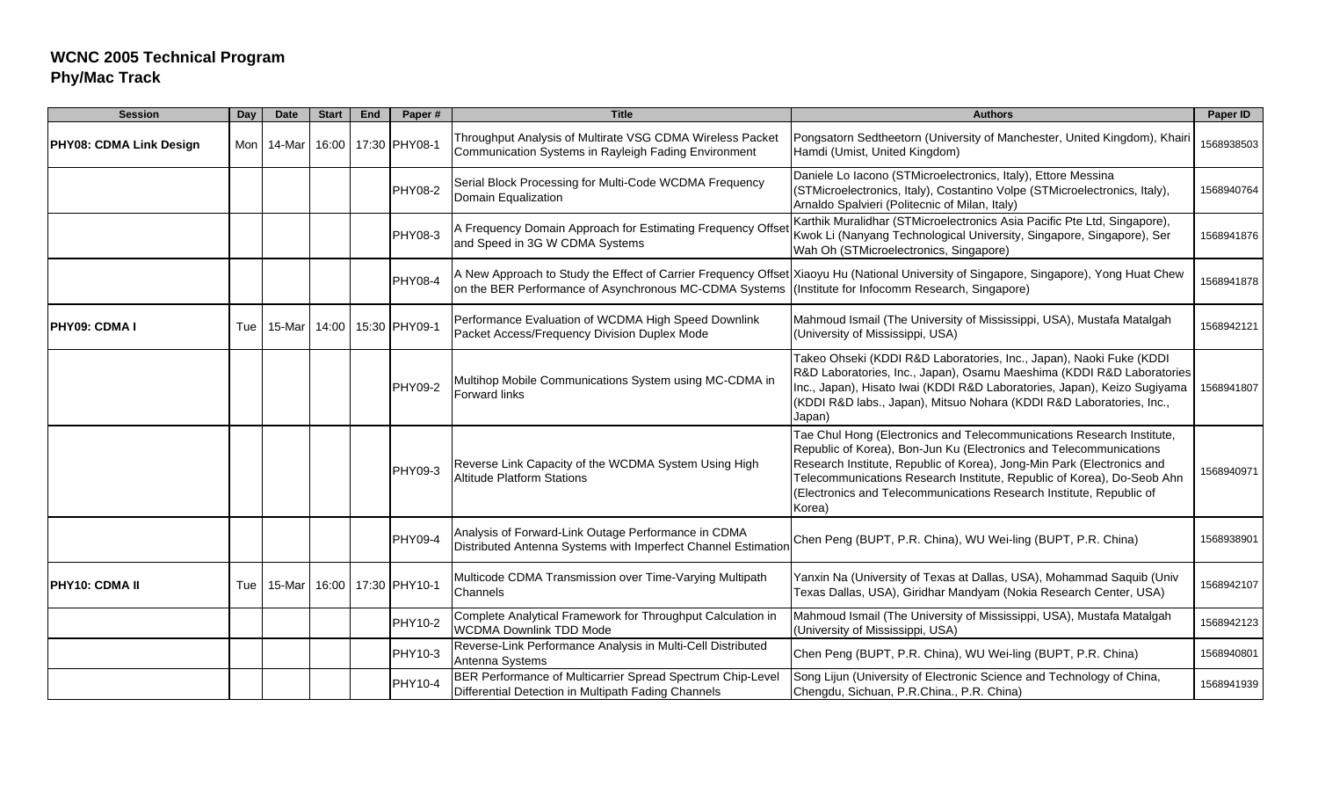| <b>Session</b>                 | Day   | <b>Date</b> | <b>Start</b> | End | Paper#              | <b>Title</b>                                                                                                         | <b>Authors</b>                                                                                                                                                                                                                                                                                                                                                                   | Paper ID   |
|--------------------------------|-------|-------------|--------------|-----|---------------------|----------------------------------------------------------------------------------------------------------------------|----------------------------------------------------------------------------------------------------------------------------------------------------------------------------------------------------------------------------------------------------------------------------------------------------------------------------------------------------------------------------------|------------|
| <b>PHY08: CDMA Link Design</b> | Mon I | 14-Mar      |              |     | 16:00 17:30 PHY08-1 | Throughput Analysis of Multirate VSG CDMA Wireless Packet<br>Communication Systems in Rayleigh Fading Environment    | Pongsatorn Sedtheetorn (University of Manchester, United Kingdom), Khairi<br>Hamdi (Umist, United Kingdom)                                                                                                                                                                                                                                                                       | 1568938503 |
|                                |       |             |              |     | PHY08-2             | Serial Block Processing for Multi-Code WCDMA Frequency<br>Domain Equalization                                        | Daniele Lo Iacono (STMicroelectronics, Italy), Ettore Messina<br>(STMicroelectronics, Italy), Costantino Volpe (STMicroelectronics, Italy),<br>Arnaldo Spalvieri (Politecnic of Milan, Italy)                                                                                                                                                                                    | 1568940764 |
|                                |       |             |              |     | PHY08-3             | A Frequency Domain Approach for Estimating Frequency Offse<br>and Speed in 3G W CDMA Systems                         | Karthik Muralidhar (STMicroelectronics Asia Pacific Pte Ltd, Singapore),<br>Kwok Li (Nanyang Technological University, Singapore, Singapore), Ser<br>Wah Oh (STMicroelectronics, Singapore)                                                                                                                                                                                      | 1568941876 |
|                                |       |             |              |     | <b>PHY08-4</b>      | on the BER Performance of Asynchronous MC-CDMA Systems                                                               | A New Approach to Study the Effect of Carrier Frequency Offset Xiaoyu Hu (National University of Singapore, Singapore), Yong Huat Chew<br>(Institute for Infocomm Research, Singapore)                                                                                                                                                                                           | 1568941878 |
| <b>IPHY09: CDMAI</b>           | Tue   | 15-Mar      | 14:00        |     | 15:30 PHY09-1       | Performance Evaluation of WCDMA High Speed Downlink<br>Packet Access/Frequency Division Duplex Mode                  | Mahmoud Ismail (The University of Mississippi, USA), Mustafa Matalgah<br>(University of Mississippi, USA)                                                                                                                                                                                                                                                                        | 1568942121 |
|                                |       |             |              |     | PHY09-2             | Multihop Mobile Communications System using MC-CDMA in<br><b>Forward links</b>                                       | Takeo Ohseki (KDDI R&D Laboratories, Inc., Japan), Naoki Fuke (KDDI<br>R&D Laboratories, Inc., Japan), Osamu Maeshima (KDDI R&D Laboratories<br>Inc., Japan), Hisato Iwai (KDDI R&D Laboratories, Japan), Keizo Sugiyama<br>(KDDI R&D labs., Japan), Mitsuo Nohara (KDDI R&D Laboratories, Inc.,<br>Japan)                                                                       | 1568941807 |
|                                |       |             |              |     | PHY09-3             | Reverse Link Capacity of the WCDMA System Using High<br><b>Altitude Platform Stations</b>                            | Tae Chul Hong (Electronics and Telecommunications Research Institute,<br>Republic of Korea), Bon-Jun Ku (Electronics and Telecommunications<br>Research Institute, Republic of Korea), Jong-Min Park (Electronics and<br>Telecommunications Research Institute, Republic of Korea), Do-Seob Ahn<br>(Electronics and Telecommunications Research Institute, Republic of<br>Korea) | 1568940971 |
|                                |       |             |              |     | <b>PHY09-4</b>      | Analysis of Forward-Link Outage Performance in CDMA<br>Distributed Antenna Systems with Imperfect Channel Estimation | Chen Peng (BUPT, P.R. China), WU Wei-ling (BUPT, P.R. China)                                                                                                                                                                                                                                                                                                                     | 1568938901 |
| IPHY10: CDMA II                | Tue   | 15-Mar      | 16:00        |     | 17:30 PHY10-1       | Multicode CDMA Transmission over Time-Varying Multipath<br>Channels                                                  | Yanxin Na (University of Texas at Dallas, USA), Mohammad Saquib (Univ<br>Texas Dallas, USA), Giridhar Mandyam (Nokia Research Center, USA)                                                                                                                                                                                                                                       | 1568942107 |
|                                |       |             |              |     | PHY10-2             | Complete Analytical Framework for Throughput Calculation in<br><b>WCDMA Downlink TDD Mode</b>                        | Mahmoud Ismail (The University of Mississippi, USA), Mustafa Matalgah<br>(University of Mississippi, USA)                                                                                                                                                                                                                                                                        | 1568942123 |
|                                |       |             |              |     | PHY10-3             | Reverse-Link Performance Analysis in Multi-Cell Distributed<br>Antenna Systems                                       | Chen Peng (BUPT, P.R. China), WU Wei-ling (BUPT, P.R. China)                                                                                                                                                                                                                                                                                                                     | 1568940801 |
|                                |       |             |              |     | PHY10-4             | BER Performance of Multicarrier Spread Spectrum Chip-Level<br>Differential Detection in Multipath Fading Channels    | Song Lijun (University of Electronic Science and Technology of China,<br>Chengdu, Sichuan, P.R.China., P.R. China)                                                                                                                                                                                                                                                               | 1568941939 |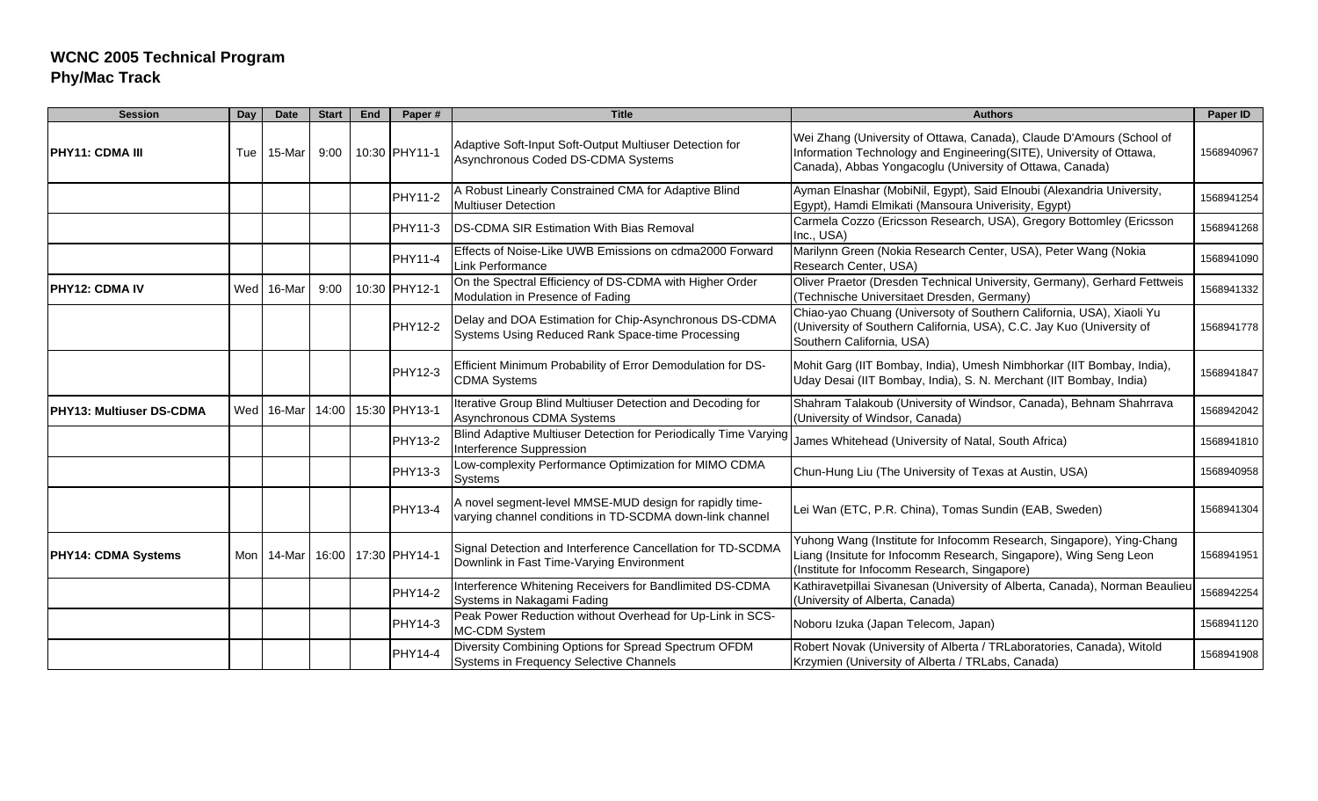| <b>Session</b>             | Day | <b>Date</b> | <b>Start</b> | End | Paper#              | <b>Title</b>                                                                                                        | <b>Authors</b>                                                                                                                                                                                          | Paper ID   |
|----------------------------|-----|-------------|--------------|-----|---------------------|---------------------------------------------------------------------------------------------------------------------|---------------------------------------------------------------------------------------------------------------------------------------------------------------------------------------------------------|------------|
| PHY11: CDMA III            | Tue | 15-Mar      | 9:00         |     | 10:30 PHY11-1       | Adaptive Soft-Input Soft-Output Multiuser Detection for<br>Asynchronous Coded DS-CDMA Systems                       | Wei Zhang (University of Ottawa, Canada), Claude D'Amours (School of<br>Information Technology and Engineering(SITE), University of Ottawa,<br>Canada), Abbas Yongacoglu (University of Ottawa, Canada) | 1568940967 |
|                            |     |             |              |     | PHY11-2             | A Robust Linearly Constrained CMA for Adaptive Blind<br><b>Multiuser Detection</b>                                  | Ayman Elnashar (MobiNil, Egypt), Said Elnoubi (Alexandria University,<br>Egypt), Hamdi Elmikati (Mansoura Univerisity, Egypt)                                                                           | 1568941254 |
|                            |     |             |              |     | PHY11-3             | DS-CDMA SIR Estimation With Bias Removal                                                                            | Carmela Cozzo (Ericsson Research, USA), Gregory Bottomley (Ericsson<br>Inc., USA)                                                                                                                       | 1568941268 |
|                            |     |             |              |     | PHY11-4             | Effects of Noise-Like UWB Emissions on cdma2000 Forward<br>Link Performance                                         | Marilynn Green (Nokia Research Center, USA), Peter Wang (Nokia<br>Research Center, USA)                                                                                                                 | 1568941090 |
| PHY12: CDMA IV             | Wed | 16-Mar      | 9:00         |     | 10:30 PHY12-1       | On the Spectral Efficiency of DS-CDMA with Higher Order<br>Modulation in Presence of Fading                         | Oliver Praetor (Dresden Technical University, Germany), Gerhard Fettweis<br>(Technische Universitaet Dresden, Germany)                                                                                  | 1568941332 |
|                            |     |             |              |     | <b>PHY12-2</b>      | Delay and DOA Estimation for Chip-Asynchronous DS-CDMA<br>Systems Using Reduced Rank Space-time Processing          | Chiao-yao Chuang (Universoty of Southern California, USA), Xiaoli Yu<br>(University of Southern California, USA), C.C. Jay Kuo (University of<br>Southern California, USA)                              | 1568941778 |
|                            |     |             |              |     | PHY12-3             | Efficient Minimum Probability of Error Demodulation for DS-<br><b>CDMA Systems</b>                                  | Mohit Garg (IIT Bombay, India), Umesh Nimbhorkar (IIT Bombay, India),<br>Uday Desai (IIT Bombay, India), S. N. Merchant (IIT Bombay, India)                                                             | 1568941847 |
| PHY13: Multiuser DS-CDMA   | Wed | 16-Mar      | 14:00        |     | 15:30 PHY13-1       | Iterative Group Blind Multiuser Detection and Decoding for<br>Asynchronous CDMA Systems                             | Shahram Talakoub (University of Windsor, Canada), Behnam Shahrrava<br>(University of Windsor, Canada)                                                                                                   | 1568942042 |
|                            |     |             |              |     | <b>PHY13-2</b>      | Blind Adaptive Multiuser Detection for Periodically Time Varying<br>Interference Suppression                        | James Whitehead (University of Natal, South Africa)                                                                                                                                                     | 1568941810 |
|                            |     |             |              |     | <b>PHY13-3</b>      | Low-complexity Performance Optimization for MIMO CDMA<br><b>Systems</b>                                             | Chun-Hung Liu (The University of Texas at Austin, USA)                                                                                                                                                  | 1568940958 |
|                            |     |             |              |     | <b>PHY13-4</b>      | A novel segment-level MMSE-MUD design for rapidly time-<br>varying channel conditions in TD-SCDMA down-link channel | Lei Wan (ETC, P.R. China), Tomas Sundin (EAB, Sweden)                                                                                                                                                   | 1568941304 |
| <b>PHY14: CDMA Systems</b> | Mon | 14-Mar      |              |     | 16:00 17:30 PHY14-1 | Signal Detection and Interference Cancellation for TD-SCDMA<br>Downlink in Fast Time-Varying Environment            | Yuhong Wang (Institute for Infocomm Research, Singapore), Ying-Chang<br>Liang (Insitute for Infocomm Research, Singapore), Wing Seng Leon<br>(Institute for Infocomm Research, Singapore)               | 1568941951 |
|                            |     |             |              |     | <b>PHY14-2</b>      | Interference Whitening Receivers for Bandlimited DS-CDMA<br>Systems in Nakagami Fading                              | Kathiravetpillai Sivanesan (University of Alberta, Canada), Norman Beaulieu<br>(University of Alberta, Canada)                                                                                          | 1568942254 |
|                            |     |             |              |     | PHY14-3             | Peak Power Reduction without Overhead for Up-Link in SCS-<br>MC-CDM System                                          | Noboru Izuka (Japan Telecom, Japan)                                                                                                                                                                     | 1568941120 |
|                            |     |             |              |     | PHY14-4             | Diversity Combining Options for Spread Spectrum OFDM<br><b>Systems in Frequency Selective Channels</b>              | Robert Novak (University of Alberta / TRLaboratories, Canada), Witold<br>Krzymien (University of Alberta / TRLabs, Canada)                                                                              | 1568941908 |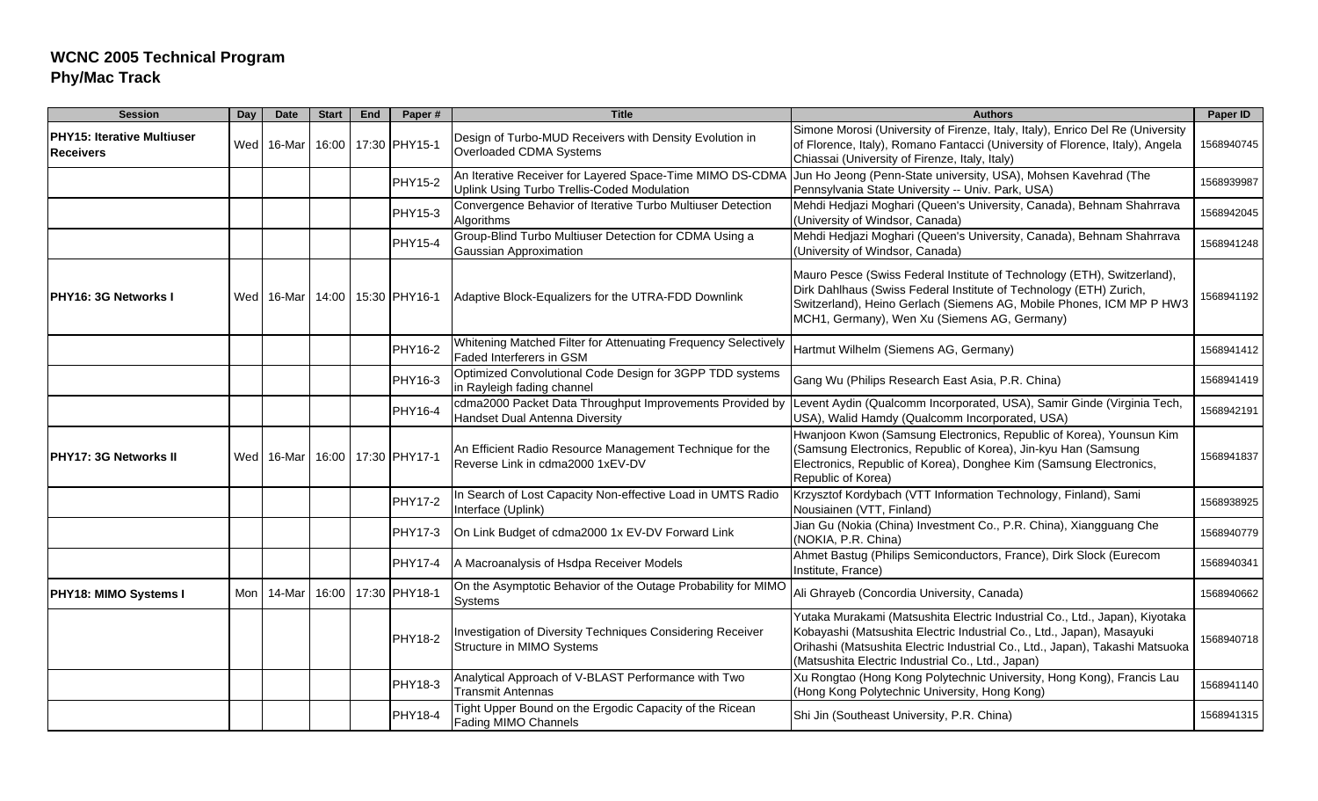| <b>Session</b>                                        | Day | <b>Date</b> | <b>Start</b> | <b>End</b> | Paper#              | <b>Title</b>                                                                                             | <b>Authors</b>                                                                                                                                                                                                                                                                            | Paper ID   |
|-------------------------------------------------------|-----|-------------|--------------|------------|---------------------|----------------------------------------------------------------------------------------------------------|-------------------------------------------------------------------------------------------------------------------------------------------------------------------------------------------------------------------------------------------------------------------------------------------|------------|
| <b>PHY15: Iterative Multiuser</b><br><b>Receivers</b> |     | Wed 16-Mar  |              |            | 16:00 17:30 PHY15-1 | Design of Turbo-MUD Receivers with Density Evolution in<br>Overloaded CDMA Systems                       | Simone Morosi (University of Firenze, Italy, Italy), Enrico Del Re (University<br>of Florence, Italy), Romano Fantacci (University of Florence, Italy), Angela<br>Chiassai (University of Firenze, Italy, Italy)                                                                          | 1568940745 |
|                                                       |     |             |              |            | PHY15-2             | An Iterative Receiver for Layered Space-Time MIMO DS-CDMA<br>Uplink Using Turbo Trellis-Coded Modulation | Jun Ho Jeong (Penn-State university, USA), Mohsen Kavehrad (The<br>Pennsylvania State University -- Univ. Park, USA)                                                                                                                                                                      | 1568939987 |
|                                                       |     |             |              |            | PHY15-3             | Convergence Behavior of Iterative Turbo Multiuser Detection<br>Algorithms                                | Mehdi Hedjazi Moghari (Queen's University, Canada), Behnam Shahrrava<br>(University of Windsor, Canada)                                                                                                                                                                                   | 1568942045 |
|                                                       |     |             |              |            | <b>PHY15-4</b>      | Group-Blind Turbo Multiuser Detection for CDMA Using a<br>Gaussian Approximation                         | Mehdi Hedjazi Moghari (Queen's University, Canada), Behnam Shahrrava<br>(University of Windsor, Canada)                                                                                                                                                                                   | 1568941248 |
| PHY16: 3G Networks I                                  |     | Wed 16-Mar  |              |            | 14:00 15:30 PHY16-1 | Adaptive Block-Equalizers for the UTRA-FDD Downlink                                                      | Mauro Pesce (Swiss Federal Institute of Technology (ETH), Switzerland),<br>Dirk Dahlhaus (Swiss Federal Institute of Technology (ETH) Zurich,<br>Switzerland), Heino Gerlach (Siemens AG, Mobile Phones, ICM MP P HW3<br>MCH1, Germany), Wen Xu (Siemens AG, Germany)                     | 1568941192 |
|                                                       |     |             |              |            | PHY16-2             | Whitening Matched Filter for Attenuating Frequency Selectively<br>Faded Interferers in GSM               | Hartmut Wilhelm (Siemens AG, Germany)                                                                                                                                                                                                                                                     | 1568941412 |
|                                                       |     |             |              |            | PHY16-3             | Optimized Convolutional Code Design for 3GPP TDD systems<br>in Rayleigh fading channel                   | Gang Wu (Philips Research East Asia, P.R. China)                                                                                                                                                                                                                                          | 1568941419 |
|                                                       |     |             |              |            | PHY16-4             | cdma2000 Packet Data Throughput Improvements Provided by<br>Handset Dual Antenna Diversity               | Levent Aydin (Qualcomm Incorporated, USA), Samir Ginde (Virginia Tech,<br>USA), Walid Hamdy (Qualcomm Incorporated, USA)                                                                                                                                                                  | 1568942191 |
| IPHY17: 3G Networks II                                |     | Wed 16-Mar  |              |            | 16:00 17:30 PHY17-1 | An Efficient Radio Resource Management Technique for the<br>Reverse Link in cdma2000 1xEV-DV             | Hwanjoon Kwon (Samsung Electronics, Republic of Korea), Younsun Kim<br>(Samsung Electronics, Republic of Korea), Jin-kyu Han (Samsung<br>Electronics, Republic of Korea), Donghee Kim (Samsung Electronics,<br>Republic of Korea)                                                         | 1568941837 |
|                                                       |     |             |              |            | PHY17-2             | In Search of Lost Capacity Non-effective Load in UMTS Radio<br>Interface (Uplink)                        | Krzysztof Kordybach (VTT Information Technology, Finland), Sami<br>Nousiainen (VTT, Finland)                                                                                                                                                                                              | 1568938925 |
|                                                       |     |             |              |            | PHY17-3             | On Link Budget of cdma2000 1x EV-DV Forward Link                                                         | Jian Gu (Nokia (China) Investment Co., P.R. China), Xiangguang Che<br>(NOKIA, P.R. China)                                                                                                                                                                                                 | 1568940779 |
|                                                       |     |             |              |            | <b>PHY17-4</b>      | A Macroanalysis of Hsdpa Receiver Models                                                                 | Ahmet Bastug (Philips Semiconductors, France), Dirk Slock (Eurecom<br>Institute, France)                                                                                                                                                                                                  | 1568940341 |
| PHY18: MIMO Systems I                                 | Mon | 14-Mar      | 16:00        |            | 17:30 PHY18-1       | On the Asymptotic Behavior of the Outage Probability for MIMC<br>Systems                                 | Ali Ghrayeb (Concordia University, Canada)                                                                                                                                                                                                                                                | 1568940662 |
|                                                       |     |             |              |            | PHY18-2             | Investigation of Diversity Techniques Considering Receiver<br>Structure in MIMO Systems                  | Yutaka Murakami (Matsushita Electric Industrial Co., Ltd., Japan), Kiyotaka<br>Kobayashi (Matsushita Electric Industrial Co., Ltd., Japan), Masayuki<br>Orihashi (Matsushita Electric Industrial Co., Ltd., Japan), Takashi Matsuoka<br>(Matsushita Electric Industrial Co., Ltd., Japan) | 1568940718 |
|                                                       |     |             |              |            | PHY18-3             | Analytical Approach of V-BLAST Performance with Two<br><b>Transmit Antennas</b>                          | Xu Rongtao (Hong Kong Polytechnic University, Hong Kong), Francis Lau<br>(Hong Kong Polytechnic University, Hong Kong)                                                                                                                                                                    | 1568941140 |
|                                                       |     |             |              |            | PHY18-4             | Tight Upper Bound on the Ergodic Capacity of the Ricean<br>Fading MIMO Channels                          | Shi Jin (Southeast University, P.R. China)                                                                                                                                                                                                                                                | 1568941315 |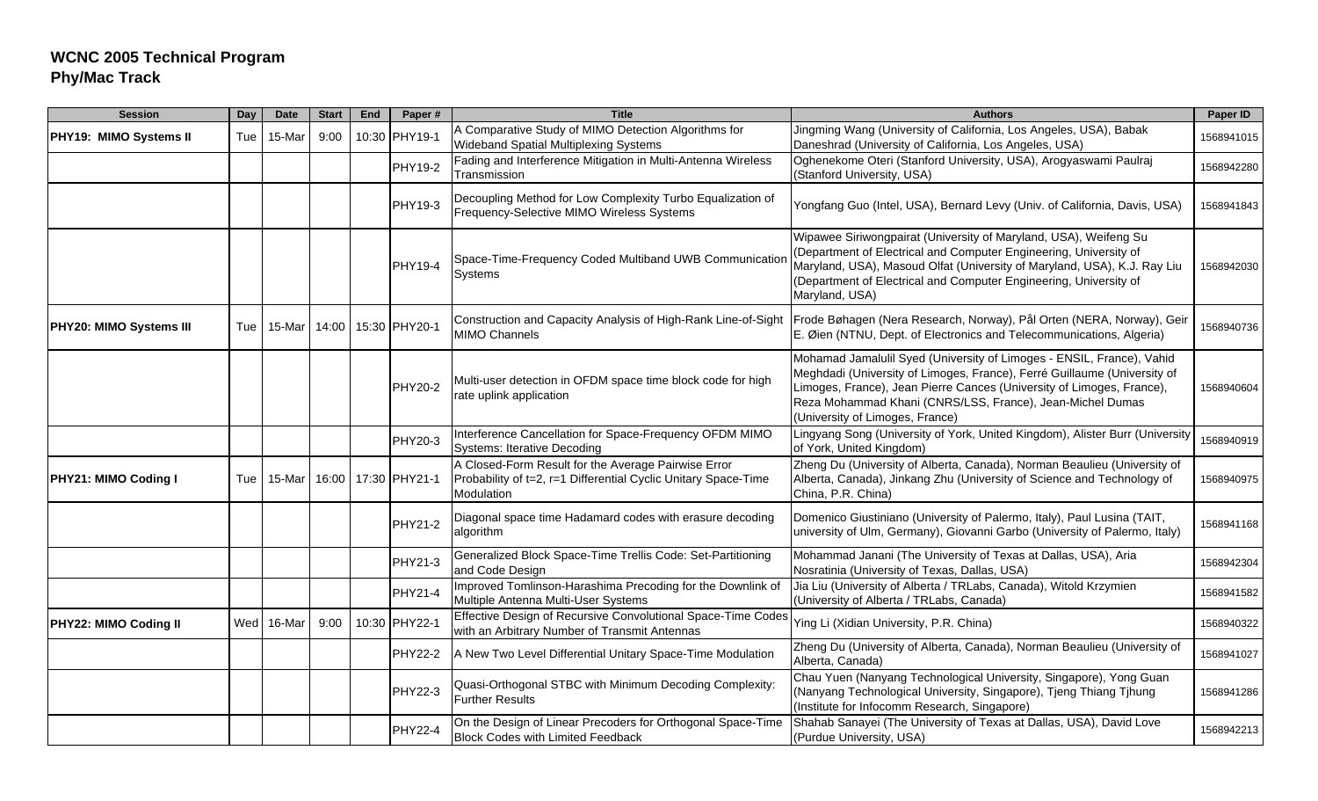| <b>Session</b>              | Day | <b>Date</b> | <b>Start</b> | End | Paper#         | <b>Title</b>                                                                                                                        | <b>Authors</b>                                                                                                                                                                                                                                                                                                             | Paper ID   |
|-----------------------------|-----|-------------|--------------|-----|----------------|-------------------------------------------------------------------------------------------------------------------------------------|----------------------------------------------------------------------------------------------------------------------------------------------------------------------------------------------------------------------------------------------------------------------------------------------------------------------------|------------|
| PHY19: MIMO Systems II      | Tue | 15-Mar      | 9:00         |     | 10:30 PHY19-1  | A Comparative Study of MIMO Detection Algorithms for<br>Wideband Spatial Multiplexing Systems                                       | Jingming Wang (University of California, Los Angeles, USA), Babak<br>Daneshrad (University of California, Los Angeles, USA)                                                                                                                                                                                                | 1568941015 |
|                             |     |             |              |     | PHY19-2        | Fading and Interference Mitigation in Multi-Antenna Wireless<br>Transmission                                                        | Oghenekome Oteri (Stanford University, USA), Arogyaswami Paulraj<br>(Stanford University, USA)                                                                                                                                                                                                                             | 1568942280 |
|                             |     |             |              |     | PHY19-3        | Decoupling Method for Low Complexity Turbo Equalization of<br>Frequency-Selective MIMO Wireless Systems                             | Yongfang Guo (Intel, USA), Bernard Levy (Univ. of California, Davis, USA)                                                                                                                                                                                                                                                  | 1568941843 |
|                             |     |             |              |     | PHY19-4        | Space-Time-Frequency Coded Multiband UWB Communicatior<br>Systems                                                                   | Wipawee Siriwongpairat (University of Maryland, USA), Weifeng Su<br>(Department of Electrical and Computer Engineering, University of<br>Maryland, USA), Masoud Olfat (University of Maryland, USA), K.J. Ray Liu<br>(Department of Electrical and Computer Engineering, University of<br>Maryland, USA)                   | 1568942030 |
| PHY20: MIMO Systems III     | Tue | 15-Mar      | 14:00        |     | 15:30 PHY20-1  | <b>MIMO Channels</b>                                                                                                                | Construction and Capacity Analysis of High-Rank Line-of-Sight   Frode Bøhagen (Nera Research, Norway), Pål Orten (NERA, Norway), Geir<br>E. Øien (NTNU, Dept. of Electronics and Telecommunications, Algeria)                                                                                                              | 1568940736 |
|                             |     |             |              |     | <b>PHY20-2</b> | Multi-user detection in OFDM space time block code for high<br>rate uplink application                                              | Mohamad Jamalulil Syed (University of Limoges - ENSIL, France), Vahid<br>Meghdadi (University of Limoges, France), Ferré Guillaume (University of<br>Limoges, France), Jean Pierre Cances (University of Limoges, France),<br>Reza Mohammad Khani (CNRS/LSS, France), Jean-Michel Dumas<br>(University of Limoges, France) | 1568940604 |
|                             |     |             |              |     | PHY20-3        | Interference Cancellation for Space-Frequency OFDM MIMO<br><b>Systems: Iterative Decoding</b>                                       | Lingyang Song (University of York, United Kingdom), Alister Burr (University<br>of York, United Kingdom)                                                                                                                                                                                                                   | 1568940919 |
| <b>PHY21: MIMO Coding I</b> | Tue | 15-Mar      | 16:00        |     | 17:30 PHY21-1  | A Closed-Form Result for the Average Pairwise Error<br>Probability of t=2, r=1 Differential Cyclic Unitary Space-Time<br>Modulation | Zheng Du (University of Alberta, Canada), Norman Beaulieu (University of<br>Alberta, Canada), Jinkang Zhu (University of Science and Technology of<br>China, P.R. China)                                                                                                                                                   | 1568940975 |
|                             |     |             |              |     | PHY21-2        | Diagonal space time Hadamard codes with erasure decoding<br>algorithm                                                               | Domenico Giustiniano (University of Palermo, Italy), Paul Lusina (TAIT,<br>university of Ulm, Germany), Giovanni Garbo (University of Palermo, Italy)                                                                                                                                                                      | 1568941168 |
|                             |     |             |              |     | PHY21-3        | Generalized Block Space-Time Trellis Code: Set-Partitioning<br>and Code Design                                                      | Mohammad Janani (The University of Texas at Dallas, USA), Aria<br>Nosratinia (University of Texas, Dallas, USA)                                                                                                                                                                                                            | 1568942304 |
|                             |     |             |              |     | <b>PHY21-4</b> | Improved Tomlinson-Harashima Precoding for the Downlink of<br>Multiple Antenna Multi-User Systems                                   | Jia Liu (University of Alberta / TRLabs, Canada), Witold Krzymien<br>(University of Alberta / TRLabs, Canada)                                                                                                                                                                                                              | 1568941582 |
| PHY22: MIMO Coding II       | Wed | 16-Mar      | 9:00         |     | 10:30 PHY22-1  | Effective Design of Recursive Convolutional Space-Time Codes<br>with an Arbitrary Number of Transmit Antennas                       | Ying Li (Xidian University, P.R. China)                                                                                                                                                                                                                                                                                    | 1568940322 |
|                             |     |             |              |     | <b>PHY22-2</b> | A New Two Level Differential Unitary Space-Time Modulation                                                                          | Zheng Du (University of Alberta, Canada), Norman Beaulieu (University of<br>Alberta, Canada)                                                                                                                                                                                                                               | 1568941027 |
|                             |     |             |              |     | <b>PHY22-3</b> | Quasi-Orthogonal STBC with Minimum Decoding Complexity:<br><b>Further Results</b>                                                   | Chau Yuen (Nanyang Technological University, Singapore), Yong Guan<br>(Nanyang Technological University, Singapore), Tjeng Thiang Tjhung<br>(Institute for Infocomm Research, Singapore)                                                                                                                                   | 1568941286 |
|                             |     |             |              |     | <b>PHY22-4</b> | On the Design of Linear Precoders for Orthogonal Space-Time<br><b>Block Codes with Limited Feedback</b>                             | Shahab Sanayei (The University of Texas at Dallas, USA), David Love<br>(Purdue University, USA)                                                                                                                                                                                                                            | 1568942213 |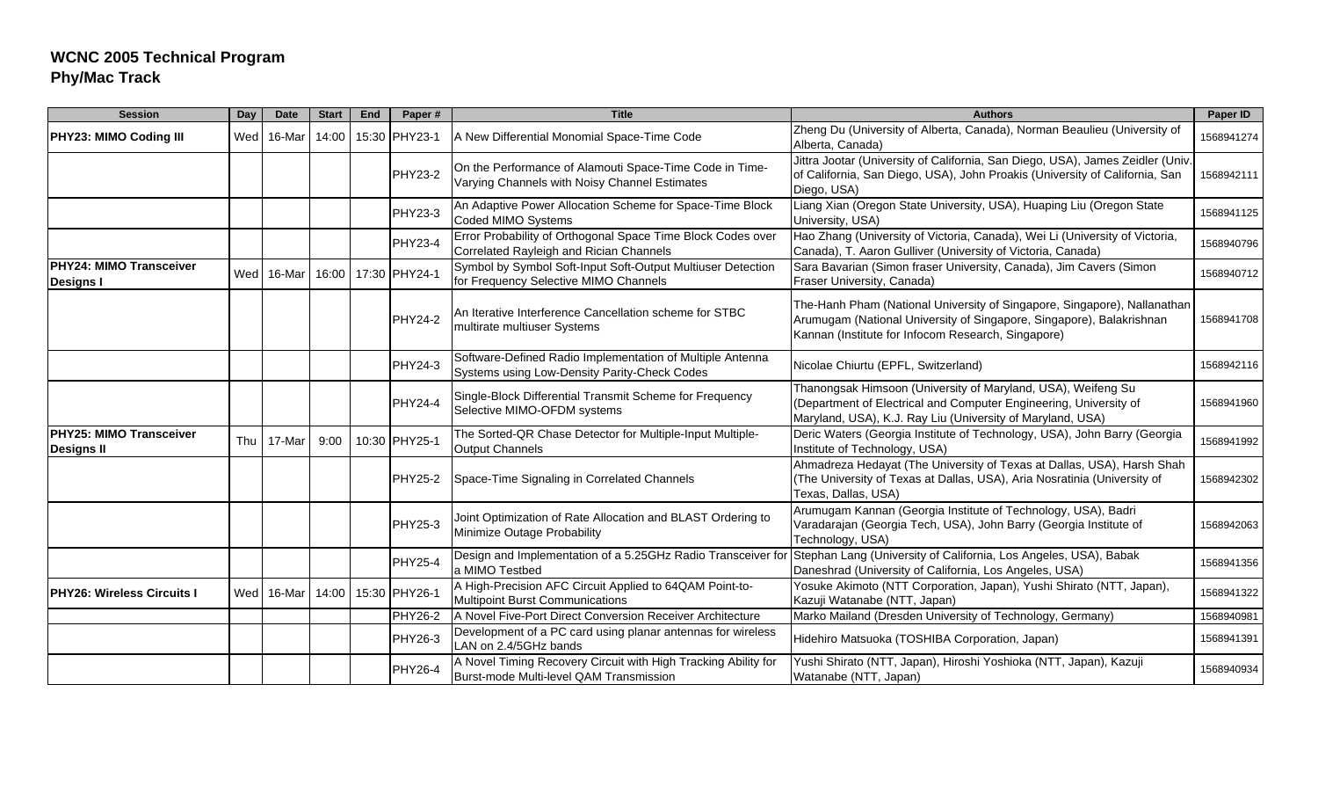| <b>Session</b>                               | Day | <b>Date</b> | <b>Start</b> | End | Paper#         | <b>Title</b>                                                                                              | <b>Authors</b>                                                                                                                                                                                         | Paper ID   |
|----------------------------------------------|-----|-------------|--------------|-----|----------------|-----------------------------------------------------------------------------------------------------------|--------------------------------------------------------------------------------------------------------------------------------------------------------------------------------------------------------|------------|
| <b>PHY23: MIMO Coding III</b>                | Wed | 16-Mar      | 14:00        |     | 15:30 PHY23-1  | A New Differential Monomial Space-Time Code                                                               | Zheng Du (University of Alberta, Canada), Norman Beaulieu (University of<br>Alberta, Canada)                                                                                                           | 1568941274 |
|                                              |     |             |              |     | <b>PHY23-2</b> | On the Performance of Alamouti Space-Time Code in Time-<br>Varying Channels with Noisy Channel Estimates  | Jittra Jootar (University of California, San Diego, USA), James Zeidler (Univ.<br>of California, San Diego, USA), John Proakis (University of California, San<br>Diego, USA)                           | 1568942111 |
|                                              |     |             |              |     | PHY23-3        | An Adaptive Power Allocation Scheme for Space-Time Block<br>Coded MIMO Systems                            | Liang Xian (Oregon State University, USA), Huaping Liu (Oregon State<br>University, USA)                                                                                                               | 1568941125 |
|                                              |     |             |              |     | <b>PHY23-4</b> | Error Probability of Orthogonal Space Time Block Codes over<br>Correlated Rayleigh and Rician Channels    | Hao Zhang (University of Victoria, Canada), Wei Li (University of Victoria,<br>Canada), T. Aaron Gulliver (University of Victoria, Canada)                                                             | 1568940796 |
| PHY24: MIMO Transceiver<br><b>Designs I</b>  |     | Wed 16-Mar  | 16:00        |     | 17:30 PHY24-1  | Symbol by Symbol Soft-Input Soft-Output Multiuser Detection<br>for Frequency Selective MIMO Channels      | Sara Bavarian (Simon fraser University, Canada), Jim Cavers (Simon<br>Fraser University, Canada)                                                                                                       | 1568940712 |
|                                              |     |             |              |     | <b>PHY24-2</b> | An Iterative Interference Cancellation scheme for STBC<br>multirate multiuser Systems                     | The-Hanh Pham (National University of Singapore, Singapore), Nallanathan<br>Arumugam (National University of Singapore, Singapore), Balakrishnan<br>Kannan (Institute for Infocom Research, Singapore) | 1568941708 |
|                                              |     |             |              |     | <b>PHY24-3</b> | Software-Defined Radio Implementation of Multiple Antenna<br>Systems using Low-Density Parity-Check Codes | Nicolae Chiurtu (EPFL, Switzerland)                                                                                                                                                                    | 1568942116 |
|                                              |     |             |              |     | PHY24-4        | Single-Block Differential Transmit Scheme for Frequency<br>Selective MIMO-OFDM systems                    | Thanongsak Himsoon (University of Maryland, USA), Weifeng Su<br>(Department of Electrical and Computer Engineering, University of<br>Maryland, USA), K.J. Ray Liu (University of Maryland, USA)        | 1568941960 |
| PHY25: MIMO Transceiver<br><b>Designs II</b> | Thu | 17-Mar      | 9:00         |     | 10:30 PHY25-1  | The Sorted-QR Chase Detector for Multiple-Input Multiple-<br><b>Output Channels</b>                       | Deric Waters (Georgia Institute of Technology, USA), John Barry (Georgia<br>Institute of Technology, USA)                                                                                              | 1568941992 |
|                                              |     |             |              |     | PHY25-2        | Space-Time Signaling in Correlated Channels                                                               | Ahmadreza Hedayat (The University of Texas at Dallas, USA), Harsh Shah<br>(The University of Texas at Dallas, USA), Aria Nosratinia (University of<br>Texas, Dallas, USA)                              | 1568942302 |
|                                              |     |             |              |     | <b>PHY25-3</b> | Joint Optimization of Rate Allocation and BLAST Ordering to<br>Minimize Outage Probability                | Arumugam Kannan (Georgia Institute of Technology, USA), Badri<br>Varadarajan (Georgia Tech, USA), John Barry (Georgia Institute of<br>Technology, USA)                                                 | 1568942063 |
|                                              |     |             |              |     | <b>PHY25-4</b> | Design and Implementation of a 5.25GHz Radio Transceiver fo<br>a MIMO Testbed                             | Stephan Lang (University of California, Los Angeles, USA), Babak<br>Daneshrad (University of California, Los Angeles, USA)                                                                             | 1568941356 |
| <b>PHY26: Wireless Circuits I</b>            |     | Wed 16-Mar  | 14:00        |     | 15:30 PHY26-1  | A High-Precision AFC Circuit Applied to 64QAM Point-to-<br><b>Multipoint Burst Communications</b>         | Yosuke Akimoto (NTT Corporation, Japan), Yushi Shirato (NTT, Japan),<br>Kazuji Watanabe (NTT, Japan)                                                                                                   | 1568941322 |
|                                              |     |             |              |     | PHY26-2        | A Novel Five-Port Direct Conversion Receiver Architecture                                                 | Marko Mailand (Dresden University of Technology, Germany)                                                                                                                                              | 1568940981 |
|                                              |     |             |              |     | PHY26-3        | Development of a PC card using planar antennas for wireless<br>LAN on 2.4/5GHz bands                      | Hidehiro Matsuoka (TOSHIBA Corporation, Japan)                                                                                                                                                         | 1568941391 |
|                                              |     |             |              |     | <b>PHY26-4</b> | A Novel Timing Recovery Circuit with High Tracking Ability for<br>Burst-mode Multi-level QAM Transmission | Yushi Shirato (NTT, Japan), Hiroshi Yoshioka (NTT, Japan), Kazuji<br>Watanabe (NTT, Japan)                                                                                                             | 1568940934 |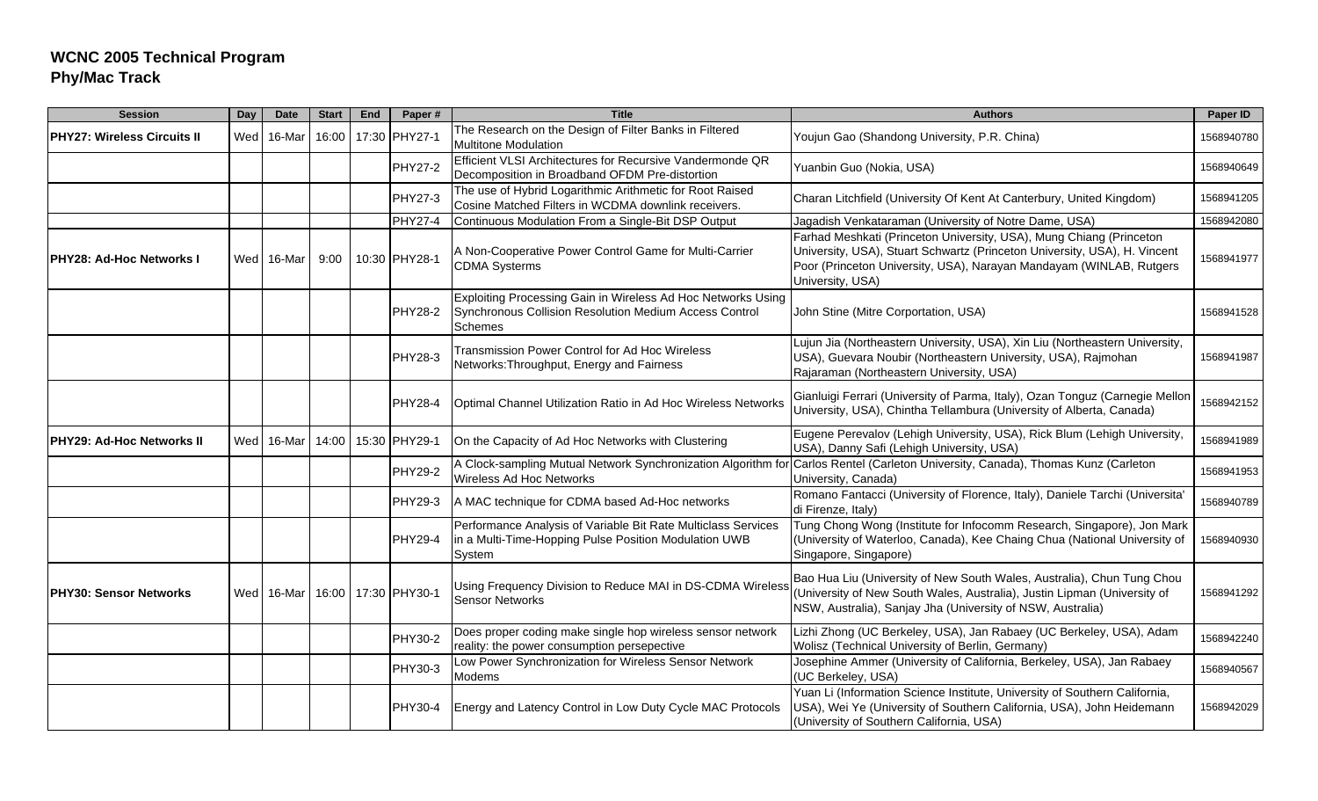| <b>Session</b>               | Day | <b>Date</b> | <b>Start</b> | End | Paper#              | <b>Title</b>                                                                                                                             | <b>Authors</b>                                                                                                                                                                                                                              | Paper ID   |
|------------------------------|-----|-------------|--------------|-----|---------------------|------------------------------------------------------------------------------------------------------------------------------------------|---------------------------------------------------------------------------------------------------------------------------------------------------------------------------------------------------------------------------------------------|------------|
| IPHY27: Wireless Circuits II | Wed | 16-Mar      | 16:00        |     | 17:30 PHY27-1       | The Research on the Design of Filter Banks in Filtered<br><b>Multitone Modulation</b>                                                    | Youjun Gao (Shandong University, P.R. China)                                                                                                                                                                                                | 1568940780 |
|                              |     |             |              |     | PHY27-2             | Efficient VLSI Architectures for Recursive Vandermonde QR<br>Decomposition in Broadband OFDM Pre-distortion                              | Yuanbin Guo (Nokia, USA)                                                                                                                                                                                                                    | 1568940649 |
|                              |     |             |              |     | PHY27-3             | The use of Hybrid Logarithmic Arithmetic for Root Raised<br>Cosine Matched Filters in WCDMA downlink receivers.                          | Charan Litchfield (University Of Kent At Canterbury, United Kingdom)                                                                                                                                                                        | 1568941205 |
|                              |     |             |              |     | PHY27-4             | Continuous Modulation From a Single-Bit DSP Output                                                                                       | Jagadish Venkataraman (University of Notre Dame, USA)                                                                                                                                                                                       | 1568942080 |
| PHY28: Ad-Hoc Networks I     |     | Wed 16-Mar  | 9:00         |     | 10:30 PHY28-1       | A Non-Cooperative Power Control Game for Multi-Carrier<br><b>CDMA Systerms</b>                                                           | Farhad Meshkati (Princeton University, USA), Mung Chiang (Princeton<br>University, USA), Stuart Schwartz (Princeton University, USA), H. Vincent<br>Poor (Princeton University, USA), Narayan Mandayam (WINLAB, Rutgers<br>University, USA) | 1568941977 |
|                              |     |             |              |     | <b>PHY28-2</b>      | Exploiting Processing Gain in Wireless Ad Hoc Networks Using<br>Synchronous Collision Resolution Medium Access Control<br><b>Schemes</b> | John Stine (Mitre Corportation, USA)                                                                                                                                                                                                        | 1568941528 |
|                              |     |             |              |     | PHY28-3             | Transmission Power Control for Ad Hoc Wireless<br>Networks: Throughput, Energy and Fairness                                              | Lujun Jia (Northeastern University, USA), Xin Liu (Northeastern University,<br>USA), Guevara Noubir (Northeastern University, USA), Rajmohan<br>Rajaraman (Northeastern University, USA)                                                    | 1568941987 |
|                              |     |             |              |     | PHY28-4             | Optimal Channel Utilization Ratio in Ad Hoc Wireless Networks                                                                            | Gianluigi Ferrari (University of Parma, Italy), Ozan Tonguz (Carnegie Mellon<br>University, USA), Chintha Tellambura (University of Alberta, Canada)                                                                                        | 1568942152 |
| PHY29: Ad-Hoc Networks II    |     | Wed 16-Mar  | 14:00        |     | 15:30 PHY29-1       | On the Capacity of Ad Hoc Networks with Clustering                                                                                       | Eugene Perevalov (Lehigh University, USA), Rick Blum (Lehigh University,<br>USA), Danny Safi (Lehigh University, USA)                                                                                                                       | 1568941989 |
|                              |     |             |              |     | PHY29-2             | Wireless Ad Hoc Networks                                                                                                                 | A Clock-sampling Mutual Network Synchronization Algorithm for Carlos Rentel (Carleton University, Canada), Thomas Kunz (Carleton<br>University, Canada)                                                                                     | 1568941953 |
|                              |     |             |              |     | PHY29-3             | A MAC technique for CDMA based Ad-Hoc networks                                                                                           | Romano Fantacci (University of Florence, Italy), Daniele Tarchi (Universita'<br>di Firenze, Italy)                                                                                                                                          | 1568940789 |
|                              |     |             |              |     | <b>PHY29-4</b>      | Performance Analysis of Variable Bit Rate Multiclass Services<br>in a Multi-Time-Hopping Pulse Position Modulation UWB<br>System         | Tung Chong Wong (Institute for Infocomm Research, Singapore), Jon Mark<br>(University of Waterloo, Canada), Kee Chaing Chua (National University of<br>Singapore, Singapore)                                                                | 1568940930 |
| IPHY30: Sensor Networks      |     | Wed 16-Mar  |              |     | 16:00 17:30 PHY30-1 | Using Frequency Division to Reduce MAI in DS-CDMA Wireless<br><b>Sensor Networks</b>                                                     | Bao Hua Liu (University of New South Wales, Australia), Chun Tung Chou<br>(University of New South Wales, Australia), Justin Lipman (University of<br>NSW, Australia), Sanjay Jha (University of NSW, Australia)                            | 1568941292 |
|                              |     |             |              |     | PHY30-2             | Does proper coding make single hop wireless sensor network<br>reality: the power consumption persepective                                | Lizhi Zhong (UC Berkeley, USA), Jan Rabaey (UC Berkeley, USA), Adam<br>Wolisz (Technical University of Berlin, Germany)                                                                                                                     | 1568942240 |
|                              |     |             |              |     | PHY30-3             | Low Power Synchronization for Wireless Sensor Network<br>Modems                                                                          | Josephine Ammer (University of California, Berkeley, USA), Jan Rabaey<br>(UC Berkeley, USA)                                                                                                                                                 | 1568940567 |
|                              |     |             |              |     | PHY30-4             | Energy and Latency Control in Low Duty Cycle MAC Protocols                                                                               | Yuan Li (Information Science Institute, University of Southern California,<br>USA), Wei Ye (University of Southern California, USA), John Heidemann<br>(University of Southern California, USA)                                             | 1568942029 |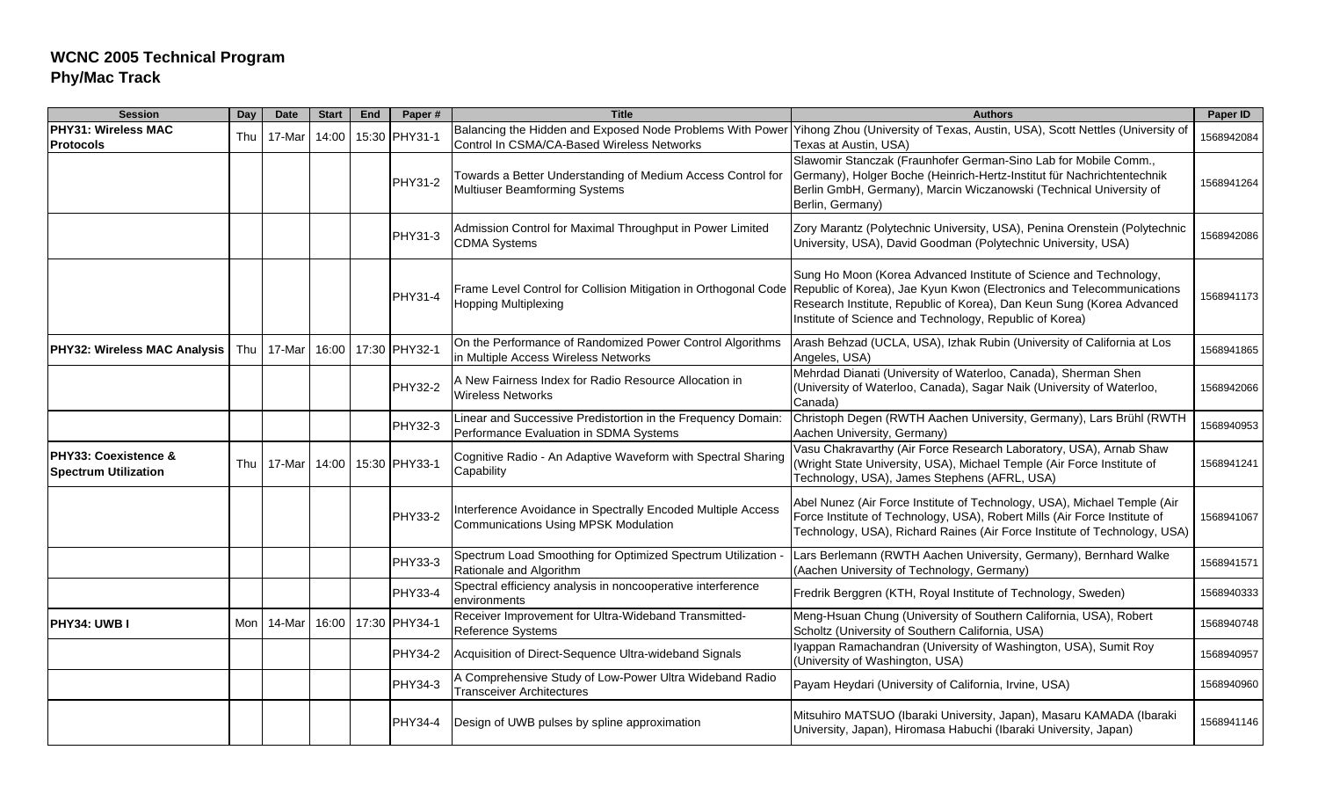| <b>Session</b>                                      | Day   | <b>Date</b> | <b>Start</b> | End | Paper#         | <b>Title</b>                                                                                           | <b>Authors</b>                                                                                                                                                                                                                                                                 | Paper ID   |
|-----------------------------------------------------|-------|-------------|--------------|-----|----------------|--------------------------------------------------------------------------------------------------------|--------------------------------------------------------------------------------------------------------------------------------------------------------------------------------------------------------------------------------------------------------------------------------|------------|
| <b>PHY31: Wireless MAC</b><br>Protocols             | Thu   | 17-Mar      | 14:00        |     | 15:30 PHY31-1  | Control In CSMA/CA-Based Wireless Networks                                                             | Balancing the Hidden and Exposed Node Problems With Power Yihong Zhou (University of Texas, Austin, USA), Scott Nettles (University of<br>Texas at Austin, USA)                                                                                                                | 1568942084 |
|                                                     |       |             |              |     | <b>PHY31-2</b> | Towards a Better Understanding of Medium Access Control for<br>Multiuser Beamforming Systems           | Slawomir Stanczak (Fraunhofer German-Sino Lab for Mobile Comm.,<br>Germany), Holger Boche (Heinrich-Hertz-Institut für Nachrichtentechnik<br>Berlin GmbH, Germany), Marcin Wiczanowski (Technical University of<br>Berlin, Germany)                                            | 1568941264 |
|                                                     |       |             |              |     | PHY31-3        | Admission Control for Maximal Throughput in Power Limited<br><b>CDMA Systems</b>                       | Zory Marantz (Polytechnic University, USA), Penina Orenstein (Polytechnic<br>University, USA), David Goodman (Polytechnic University, USA)                                                                                                                                     | 1568942086 |
|                                                     |       |             |              |     | PHY31-4        | Frame Level Control for Collision Mitigation in Orthogonal Code<br><b>Hopping Multiplexing</b>         | Sung Ho Moon (Korea Advanced Institute of Science and Technology,<br>Republic of Korea), Jae Kyun Kwon (Electronics and Telecommunications<br>Research Institute, Republic of Korea), Dan Keun Sung (Korea Advanced<br>Institute of Science and Technology, Republic of Korea) | 1568941173 |
| <b>PHY32: Wireless MAC Analysis</b>                 | Thu   | 17-Mar      | 16:00        |     | 17:30 PHY32-1  | On the Performance of Randomized Power Control Algorithms<br>in Multiple Access Wireless Networks      | Arash Behzad (UCLA, USA), Izhak Rubin (University of California at Los<br>Angeles, USA)                                                                                                                                                                                        | 1568941865 |
|                                                     |       |             |              |     | <b>PHY32-2</b> | A New Fairness Index for Radio Resource Allocation in<br><b>Wireless Networks</b>                      | Mehrdad Dianati (University of Waterloo, Canada), Sherman Shen<br>(University of Waterloo, Canada), Sagar Naik (University of Waterloo,<br>Canada)                                                                                                                             | 1568942066 |
|                                                     |       |             |              |     | PHY32-3        | Linear and Successive Predistortion in the Frequency Domain:<br>Performance Evaluation in SDMA Systems | Christoph Degen (RWTH Aachen University, Germany), Lars Brühl (RWTH<br>Aachen University, Germany)                                                                                                                                                                             | 1568940953 |
| PHY33: Coexistence &<br><b>Spectrum Utilization</b> | Thu   | 17-Mar      | 14:00        |     | 15:30 PHY33-1  | Cognitive Radio - An Adaptive Waveform with Spectral Sharing<br>Capability                             | Vasu Chakravarthy (Air Force Research Laboratory, USA), Arnab Shaw<br>(Wright State University, USA), Michael Temple (Air Force Institute of<br>Technology, USA), James Stephens (AFRL, USA)                                                                                   | 1568941241 |
|                                                     |       |             |              |     | PHY33-2        | Interference Avoidance in Spectrally Encoded Multiple Access<br>Communications Using MPSK Modulation   | Abel Nunez (Air Force Institute of Technology, USA), Michael Temple (Air<br>Force Institute of Technology, USA), Robert Mills (Air Force Institute of<br>Technology, USA), Richard Raines (Air Force Institute of Technology, USA)                                             | 1568941067 |
|                                                     |       |             |              |     | PHY33-3        | Spectrum Load Smoothing for Optimized Spectrum Utilization<br>Rationale and Algorithm                  | Lars Berlemann (RWTH Aachen University, Germany), Bernhard Walke<br>(Aachen University of Technology, Germany)                                                                                                                                                                 | 1568941571 |
|                                                     |       |             |              |     | <b>PHY33-4</b> | Spectral efficiency analysis in noncooperative interference<br>environments                            | Fredrik Berggren (KTH, Royal Institute of Technology, Sweden)                                                                                                                                                                                                                  | 1568940333 |
| PHY34: UWB I                                        | Mon l | 14-Mar      | 16:00        |     | 17:30 PHY34-1  | Receiver Improvement for Ultra-Wideband Transmitted-<br>Reference Systems                              | Meng-Hsuan Chung (University of Southern California, USA), Robert<br>Scholtz (University of Southern California, USA)                                                                                                                                                          | 1568940748 |
|                                                     |       |             |              |     | PHY34-2        | Acquisition of Direct-Sequence Ultra-wideband Signals                                                  | Iyappan Ramachandran (University of Washington, USA), Sumit Roy<br>(University of Washington, USA)                                                                                                                                                                             | 1568940957 |
|                                                     |       |             |              |     | PHY34-3        | A Comprehensive Study of Low-Power Ultra Wideband Radio<br><b>Transceiver Architectures</b>            | Payam Heydari (University of California, Irvine, USA)                                                                                                                                                                                                                          | 1568940960 |
|                                                     |       |             |              |     | PHY34-4        | Design of UWB pulses by spline approximation                                                           | Mitsuhiro MATSUO (Ibaraki University, Japan), Masaru KAMADA (Ibaraki<br>University, Japan), Hiromasa Habuchi (Ibaraki University, Japan)                                                                                                                                       | 1568941146 |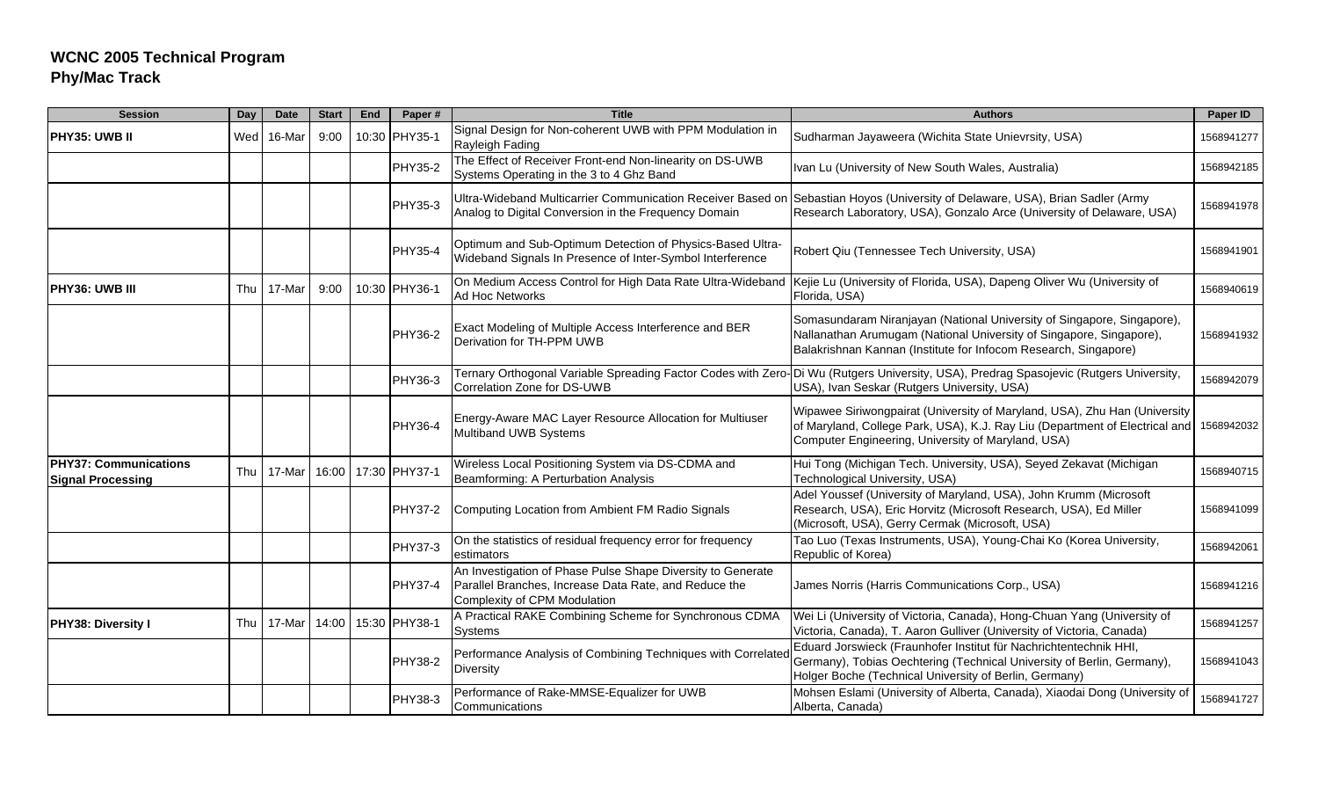| <b>Session</b>                                           | Day | Date       | <b>Start</b> | End | Paper#              | <b>Title</b>                                                                                                                                         | <b>Authors</b>                                                                                                                                                                                                   | Paper ID   |
|----------------------------------------------------------|-----|------------|--------------|-----|---------------------|------------------------------------------------------------------------------------------------------------------------------------------------------|------------------------------------------------------------------------------------------------------------------------------------------------------------------------------------------------------------------|------------|
| <b>IPHY35: UWB II</b>                                    |     | Wed 16-Mar | 9:00         |     | 10:30 PHY35-1       | Signal Design for Non-coherent UWB with PPM Modulation in<br>Rayleigh Fading                                                                         | Sudharman Jayaweera (Wichita State Unievrsity, USA)                                                                                                                                                              | 1568941277 |
|                                                          |     |            |              |     | PHY35-2             | The Effect of Receiver Front-end Non-linearity on DS-UWB<br>Systems Operating in the 3 to 4 Ghz Band                                                 | Ivan Lu (University of New South Wales, Australia)                                                                                                                                                               | 1568942185 |
|                                                          |     |            |              |     | PHY35-3             | Ultra-Wideband Multicarrier Communication Receiver Based on<br>Analog to Digital Conversion in the Frequency Domain                                  | Sebastian Hoyos (University of Delaware, USA), Brian Sadler (Army<br>Research Laboratory, USA), Gonzalo Arce (University of Delaware, USA)                                                                       | 1568941978 |
|                                                          |     |            |              |     | <b>PHY35-4</b>      | Optimum and Sub-Optimum Detection of Physics-Based Ultra-<br>Wideband Signals In Presence of Inter-Symbol Interference                               | Robert Qiu (Tennessee Tech University, USA)                                                                                                                                                                      | 1568941901 |
| <b>PHY36: UWB III</b>                                    | Thu | 17-Mar     | 9:00         |     | 10:30 PHY36-1       | On Medium Access Control for High Data Rate Ultra-Wideband<br>Ad Hoc Networks                                                                        | Kejie Lu (University of Florida, USA), Dapeng Oliver Wu (University of<br>Florida, USA)                                                                                                                          | 1568940619 |
|                                                          |     |            |              |     | <b>PHY36-2</b>      | Exact Modeling of Multiple Access Interference and BER<br>Derivation for TH-PPM UWB                                                                  | Somasundaram Niranjayan (National University of Singapore, Singapore),<br>Nallanathan Arumugam (National University of Singapore, Singapore),<br>Balakrishnan Kannan (Institute for Infocom Research, Singapore) | 1568941932 |
|                                                          |     |            |              |     | <b>PHY36-3</b>      | Correlation Zone for DS-UWB                                                                                                                          | Ternary Orthogonal Variable Spreading Factor Codes with Zero-Di Wu (Rutgers University, USA), Predrag Spasojevic (Rutgers University,<br>USA), Ivan Seskar (Rutgers University, USA)                             | 1568942079 |
|                                                          |     |            |              |     | PHY36-4             | Energy-Aware MAC Layer Resource Allocation for Multiuser<br>Multiband UWB Systems                                                                    | Wipawee Siriwongpairat (University of Maryland, USA), Zhu Han (University<br>of Maryland, College Park, USA), K.J. Ray Liu (Department of Electrical and<br>Computer Engineering, University of Maryland, USA)   | 1568942032 |
| <b>PHY37: Communications</b><br><b>Signal Processing</b> | Thu | 17-Mar     |              |     | 16:00 17:30 PHY37-1 | Wireless Local Positioning System via DS-CDMA and<br>Beamforming: A Perturbation Analysis                                                            | Hui Tong (Michigan Tech. University, USA), Seyed Zekavat (Michigan<br>Technological University, USA)                                                                                                             | 1568940715 |
|                                                          |     |            |              |     | <b>PHY37-2</b>      | Computing Location from Ambient FM Radio Signals                                                                                                     | Adel Youssef (University of Maryland, USA), John Krumm (Microsoft<br>Research, USA), Eric Horvitz (Microsoft Research, USA), Ed Miller<br>(Microsoft, USA), Gerry Cermak (Microsoft, USA)                        | 1568941099 |
|                                                          |     |            |              |     | <b>PHY37-3</b>      | On the statistics of residual frequency error for frequency<br>estimators                                                                            | Tao Luo (Texas Instruments, USA), Young-Chai Ko (Korea University,<br>Republic of Korea)                                                                                                                         | 1568942061 |
|                                                          |     |            |              |     | PHY37-4             | An Investigation of Phase Pulse Shape Diversity to Generate<br>Parallel Branches, Increase Data Rate, and Reduce the<br>Complexity of CPM Modulation | James Norris (Harris Communications Corp., USA)                                                                                                                                                                  | 1568941216 |
| <b>PHY38: Diversity I</b>                                | Thu | 17-Mar     | 14:00        |     | 15:30 PHY38-1       | A Practical RAKE Combining Scheme for Synchronous CDMA<br>Systems                                                                                    | Wei Li (University of Victoria, Canada), Hong-Chuan Yang (University of<br>Victoria, Canada), T. Aaron Gulliver (University of Victoria, Canada)                                                                 | 1568941257 |
|                                                          |     |            |              |     | <b>PHY38-2</b>      | Performance Analysis of Combining Techniques with Correlate<br>Diversity                                                                             | Eduard Jorswieck (Fraunhofer Institut für Nachrichtentechnik HHI,<br>Germany), Tobias Oechtering (Technical University of Berlin, Germany),<br>Holger Boche (Technical University of Berlin, Germany)            | 1568941043 |
|                                                          |     |            |              |     | PHY38-3             | Performance of Rake-MMSE-Equalizer for UWB<br>Communications                                                                                         | Mohsen Eslami (University of Alberta, Canada), Xiaodai Dong (University of<br>Alberta, Canada)                                                                                                                   | 1568941727 |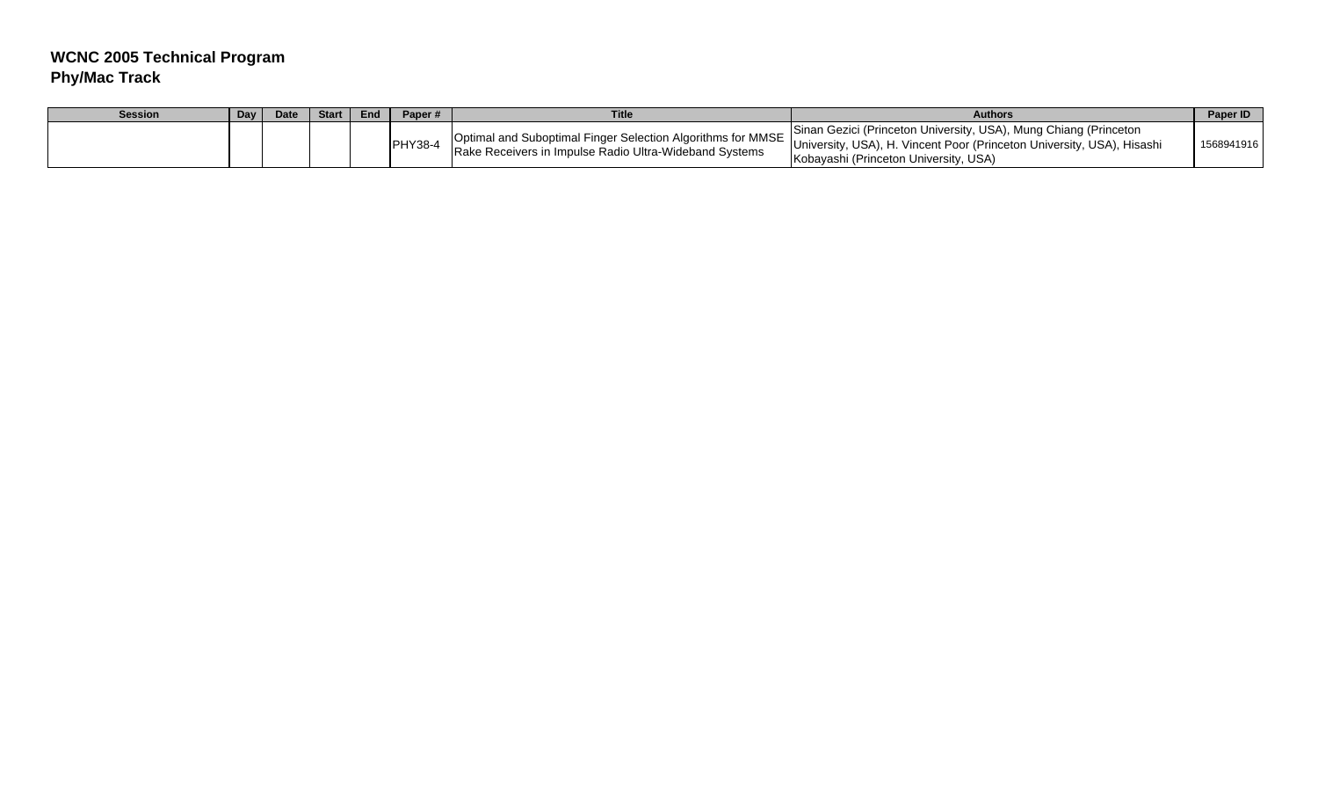| <b>Session</b> | Day | <b>Date</b> | Start | End | Paper# | <b>Title</b>                                           | Authors                                                                                                                                                                                                                                                                                     | Paper ID   |
|----------------|-----|-------------|-------|-----|--------|--------------------------------------------------------|---------------------------------------------------------------------------------------------------------------------------------------------------------------------------------------------------------------------------------------------------------------------------------------------|------------|
|                |     |             |       |     |        | Rake Receivers in Impulse Radio Ultra-Wideband Systems | Sinan Gezici (Princeton University, USA), Mung Chiang (Princeton<br>1999 Meters of MMSE University, USA), H. Vincent Poor (Princeton University, USA), Hisashi International Archiversity, USA), Hisashi International Archiversity, USA), Hisashi<br>Kobayashi (Princeton University, USA) | 1568941916 |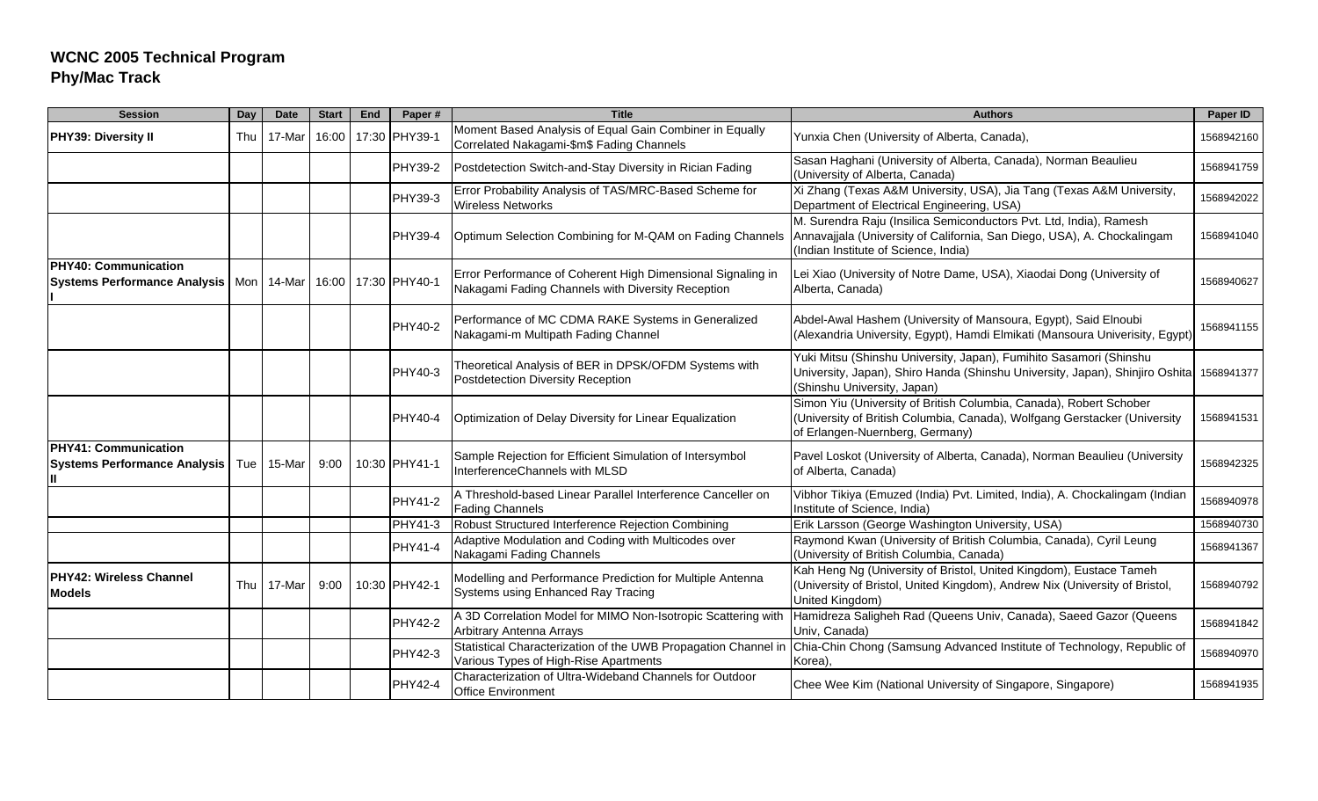| <b>Session</b>                                                     | Day | <b>Date</b> | <b>Start</b> | End | Paper#              | <b>Title</b>                                                                                                     | <b>Authors</b>                                                                                                                                                                        | Paper ID   |
|--------------------------------------------------------------------|-----|-------------|--------------|-----|---------------------|------------------------------------------------------------------------------------------------------------------|---------------------------------------------------------------------------------------------------------------------------------------------------------------------------------------|------------|
| <b>PHY39: Diversity II</b>                                         | Thu | 17-Mar      | 16:00        |     | 17:30 PHY39-1       | Moment Based Analysis of Equal Gain Combiner in Equally<br>Correlated Nakagami-\$m\$ Fading Channels             | Yunxia Chen (University of Alberta, Canada),                                                                                                                                          | 1568942160 |
|                                                                    |     |             |              |     | <b>PHY39-2</b>      | Postdetection Switch-and-Stay Diversity in Rician Fading                                                         | Sasan Haghani (University of Alberta, Canada), Norman Beaulieu<br>(University of Alberta, Canada)                                                                                     | 1568941759 |
|                                                                    |     |             |              |     | PHY39-3             | Error Probability Analysis of TAS/MRC-Based Scheme for<br><b>Wireless Networks</b>                               | Xi Zhang (Texas A&M University, USA), Jia Tang (Texas A&M University,<br>Department of Electrical Engineering, USA)                                                                   | 1568942022 |
|                                                                    |     |             |              |     | <b>PHY39-4</b>      | Optimum Selection Combining for M-QAM on Fading Channels                                                         | M. Surendra Raju (Insilica Semiconductors Pvt. Ltd, India), Ramesh<br>Annavajjala (University of California, San Diego, USA), A. Chockalingam<br>(Indian Institute of Science, India) | 1568941040 |
| <b>PHY40: Communication</b><br><b>Systems Performance Analysis</b> | Mon | 14-Mar      |              |     | 16:00 17:30 PHY40-1 | Error Performance of Coherent High Dimensional Signaling in<br>Nakagami Fading Channels with Diversity Reception | Lei Xiao (University of Notre Dame, USA), Xiaodai Dong (University of<br>Alberta, Canada)                                                                                             | 1568940627 |
|                                                                    |     |             |              |     | PHY40-2             | Performance of MC CDMA RAKE Systems in Generalized<br>Nakagami-m Multipath Fading Channel                        | Abdel-Awal Hashem (University of Mansoura, Egypt), Said Elnoubi<br>(Alexandria University, Egypt), Hamdi Elmikati (Mansoura Univerisity, Egypt)                                       | 1568941155 |
|                                                                    |     |             |              |     | PHY40-3             | Theoretical Analysis of BER in DPSK/OFDM Systems with<br><b>Postdetection Diversity Reception</b>                | Yuki Mitsu (Shinshu University, Japan), Fumihito Sasamori (Shinshu<br>University, Japan), Shiro Handa (Shinshu University, Japan), Shinjiro Oshita<br>(Shinshu University, Japan)     | 1568941377 |
|                                                                    |     |             |              |     | <b>PHY40-4</b>      | Optimization of Delay Diversity for Linear Equalization                                                          | Simon Yiu (University of British Columbia, Canada), Robert Schober<br>(University of British Columbia, Canada), Wolfgang Gerstacker (University<br>of Erlangen-Nuernberg, Germany)    | 1568941531 |
| <b>PHY41: Communication</b><br><b>Systems Performance Analysis</b> | Tue | 15-Mar      | 9:00         |     | 10:30 PHY41-1       | Sample Rejection for Efficient Simulation of Intersymbol<br>InterferenceChannels with MLSD                       | Pavel Loskot (University of Alberta, Canada), Norman Beaulieu (University<br>of Alberta, Canada)                                                                                      | 1568942325 |
|                                                                    |     |             |              |     | PHY41-2             | A Threshold-based Linear Parallel Interference Canceller on<br><b>Fading Channels</b>                            | Vibhor Tikiya (Emuzed (India) Pvt. Limited, India), A. Chockalingam (Indian<br>Institute of Science, India)                                                                           | 1568940978 |
|                                                                    |     |             |              |     | PHY41-3             | Robust Structured Interference Rejection Combining                                                               | Erik Larsson (George Washington University, USA)                                                                                                                                      | 1568940730 |
|                                                                    |     |             |              |     | PHY41-4             | Adaptive Modulation and Coding with Multicodes over<br>Nakagami Fading Channels                                  | Raymond Kwan (University of British Columbia, Canada), Cyril Leung<br>(University of British Columbia, Canada)                                                                        | 1568941367 |
| <b>PHY42: Wireless Channel</b><br><b>Models</b>                    | Thu | 17-Mar      | 9:00         |     | 10:30 PHY42-1       | Modelling and Performance Prediction for Multiple Antenna<br>Systems using Enhanced Ray Tracing                  | Kah Heng Ng (University of Bristol, United Kingdom), Eustace Tameh<br>(University of Bristol, United Kingdom), Andrew Nix (University of Bristol,<br>United Kingdom)                  | 1568940792 |
|                                                                    |     |             |              |     | <b>PHY42-2</b>      | A 3D Correlation Model for MIMO Non-Isotropic Scattering with<br>Arbitrary Antenna Arrays                        | Hamidreza Saligheh Rad (Queens Univ, Canada), Saeed Gazor (Queens<br>Univ, Canada)                                                                                                    | 1568941842 |
|                                                                    |     |             |              |     | PHY42-3             | Statistical Characterization of the UWB Propagation Channel in<br>Various Types of High-Rise Apartments          | Chia-Chin Chong (Samsung Advanced Institute of Technology, Republic of<br>Korea),                                                                                                     | 1568940970 |
|                                                                    |     |             |              |     | <b>PHY42-4</b>      | Characterization of Ultra-Wideband Channels for Outdoor<br><b>Office Environment</b>                             | Chee Wee Kim (National University of Singapore, Singapore)                                                                                                                            | 1568941935 |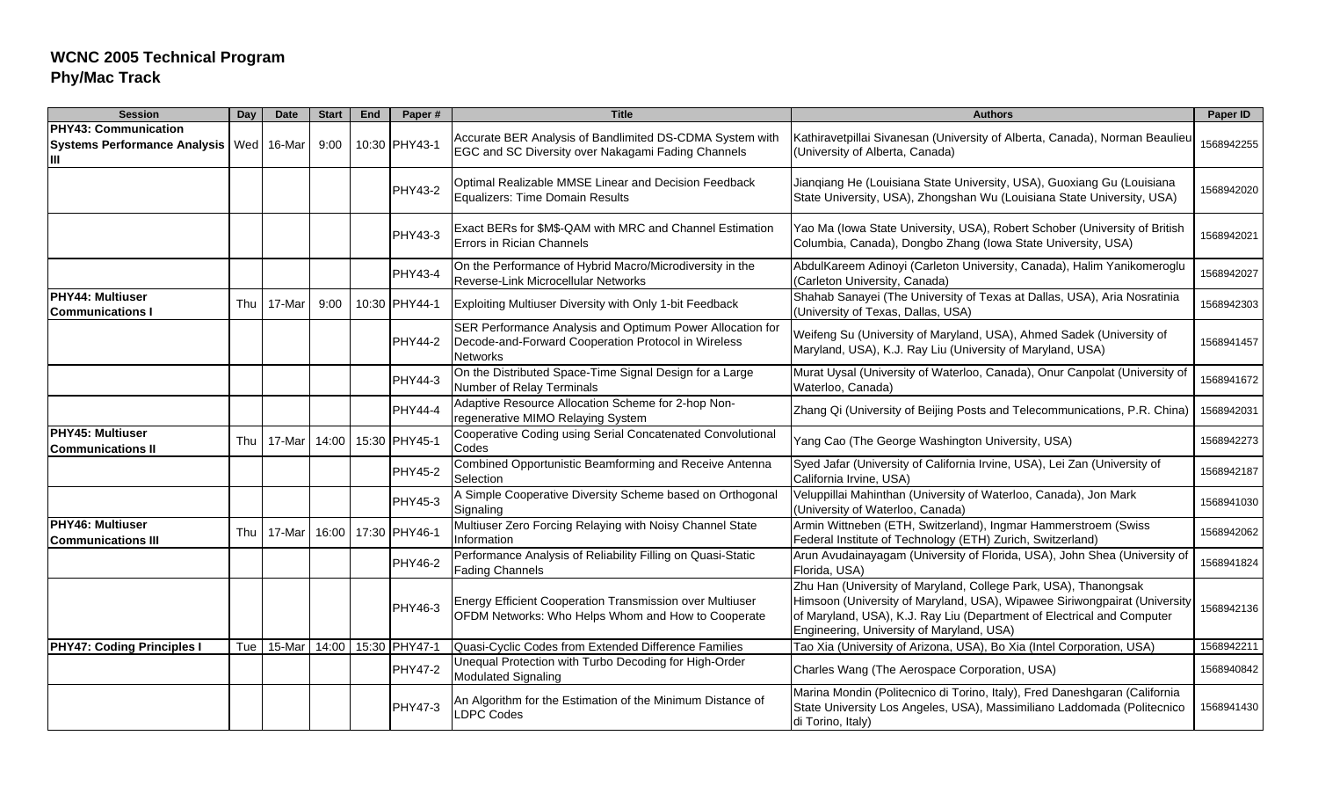| <b>Session</b>                                                   | Day | <b>Date</b> | <b>Start</b> | End | Paper#              | <b>Title</b>                                                                                                                        | <b>Authors</b>                                                                                                                                                                                                                                                      | Paper ID   |
|------------------------------------------------------------------|-----|-------------|--------------|-----|---------------------|-------------------------------------------------------------------------------------------------------------------------------------|---------------------------------------------------------------------------------------------------------------------------------------------------------------------------------------------------------------------------------------------------------------------|------------|
| PHY43: Communication<br><b>Systems Performance Analysis</b><br>Ш |     | Wed 16-Mar  | 9:00         |     | 10:30 PHY43-1       | Accurate BER Analysis of Bandlimited DS-CDMA System with<br>EGC and SC Diversity over Nakagami Fading Channels                      | Kathiravetpillai Sivanesan (University of Alberta, Canada), Norman Beaulieu<br>(University of Alberta, Canada)                                                                                                                                                      | 1568942255 |
|                                                                  |     |             |              |     | <b>PHY43-2</b>      | Optimal Realizable MMSE Linear and Decision Feedback<br><b>Equalizers: Time Domain Results</b>                                      | Jianqiang He (Louisiana State University, USA), Guoxiang Gu (Louisiana<br>State University, USA), Zhongshan Wu (Louisiana State University, USA)                                                                                                                    | 1568942020 |
|                                                                  |     |             |              |     | PHY43-3             | Exact BERs for \$M\$-QAM with MRC and Channel Estimation<br>Errors in Rician Channels                                               | Yao Ma (Iowa State University, USA), Robert Schober (University of British<br>Columbia, Canada), Dongbo Zhang (Iowa State University, USA)                                                                                                                          | 1568942021 |
|                                                                  |     |             |              |     | <b>PHY43-4</b>      | On the Performance of Hybrid Macro/Microdiversity in the<br>Reverse-Link Microcellular Networks                                     | AbdulKareem Adinoyi (Carleton University, Canada), Halim Yanikomeroglu<br>(Carleton University, Canada)                                                                                                                                                             | 1568942027 |
| PHY44: Multiuser<br><b>Communications I</b>                      | Thu | 17-Mar      | 9:00         |     | 10:30 PHY44-1       | Exploiting Multiuser Diversity with Only 1-bit Feedback                                                                             | Shahab Sanayei (The University of Texas at Dallas, USA), Aria Nosratinia<br>(University of Texas, Dallas, USA)                                                                                                                                                      | 1568942303 |
|                                                                  |     |             |              |     | <b>PHY44-2</b>      | SER Performance Analysis and Optimum Power Allocation for<br>Decode-and-Forward Cooperation Protocol in Wireless<br><b>Networks</b> | Weifeng Su (University of Maryland, USA), Ahmed Sadek (University of<br>Maryland, USA), K.J. Ray Liu (University of Maryland, USA)                                                                                                                                  | 1568941457 |
|                                                                  |     |             |              |     | PHY44-3             | On the Distributed Space-Time Signal Design for a Large<br>Number of Relay Terminals                                                | Murat Uysal (University of Waterloo, Canada), Onur Canpolat (University of<br>Waterloo, Canada)                                                                                                                                                                     | 1568941672 |
|                                                                  |     |             |              |     | <b>PHY44-4</b>      | Adaptive Resource Allocation Scheme for 2-hop Non-<br>regenerative MIMO Relaying System                                             | Zhang Qi (University of Beijing Posts and Telecommunications, P.R. China)                                                                                                                                                                                           | 1568942031 |
| PHY45: Multiuser<br><b>Communications II</b>                     | Thu | 17-Mar      | 14:00        |     | 15:30 PHY45-1       | Cooperative Coding using Serial Concatenated Convolutional<br>Codes                                                                 | Yang Cao (The George Washington University, USA)                                                                                                                                                                                                                    | 1568942273 |
|                                                                  |     |             |              |     | <b>PHY45-2</b>      | Combined Opportunistic Beamforming and Receive Antenna<br>Selection                                                                 | Syed Jafar (University of California Irvine, USA), Lei Zan (University of<br>California Irvine, USA)                                                                                                                                                                | 1568942187 |
|                                                                  |     |             |              |     | <b>PHY45-3</b>      | A Simple Cooperative Diversity Scheme based on Orthogonal<br>Signaling                                                              | Veluppillai Mahinthan (University of Waterloo, Canada), Jon Mark<br>(University of Waterloo, Canada)                                                                                                                                                                | 1568941030 |
| <b>PHY46: Multiuser</b><br><b>Communications III</b>             | Thu | 17-Mar      |              |     | 16:00 17:30 PHY46-1 | Multiuser Zero Forcing Relaying with Noisy Channel State<br>Information                                                             | Armin Wittneben (ETH, Switzerland), Ingmar Hammerstroem (Swiss<br>Federal Institute of Technology (ETH) Zurich, Switzerland)                                                                                                                                        | 1568942062 |
|                                                                  |     |             |              |     | <b>PHY46-2</b>      | Performance Analysis of Reliability Filling on Quasi-Static<br><b>Fading Channels</b>                                               | Arun Avudainayagam (University of Florida, USA), John Shea (University of<br>Florida, USA)                                                                                                                                                                          | 1568941824 |
|                                                                  |     |             |              |     | PHY46-3             | Energy Efficient Cooperation Transmission over Multiuser<br>OFDM Networks: Who Helps Whom and How to Cooperate                      | Zhu Han (University of Maryland, College Park, USA), Thanongsak<br>Himsoon (University of Maryland, USA), Wipawee Siriwongpairat (University<br>of Maryland, USA), K.J. Ray Liu (Department of Electrical and Computer<br>Engineering, University of Maryland, USA) | 1568942136 |
| <b>PHY47: Coding Principles I</b>                                | Tue | 15-Mar      |              |     | 14:00 15:30 PHY47-  | Quasi-Cyclic Codes from Extended Difference Families                                                                                | Tao Xia (University of Arizona, USA), Bo Xia (Intel Corporation, USA)                                                                                                                                                                                               | 1568942211 |
|                                                                  |     |             |              |     | <b>PHY47-2</b>      | Unequal Protection with Turbo Decoding for High-Order<br><b>Modulated Signaling</b>                                                 | Charles Wang (The Aerospace Corporation, USA)                                                                                                                                                                                                                       | 1568940842 |
|                                                                  |     |             |              |     | <b>PHY47-3</b>      | An Algorithm for the Estimation of the Minimum Distance of<br><b>DPC Codes</b>                                                      | Marina Mondin (Politecnico di Torino, Italy), Fred Daneshgaran (California<br>State University Los Angeles, USA), Massimiliano Laddomada (Politecnico<br>di Torino, Italy)                                                                                          | 1568941430 |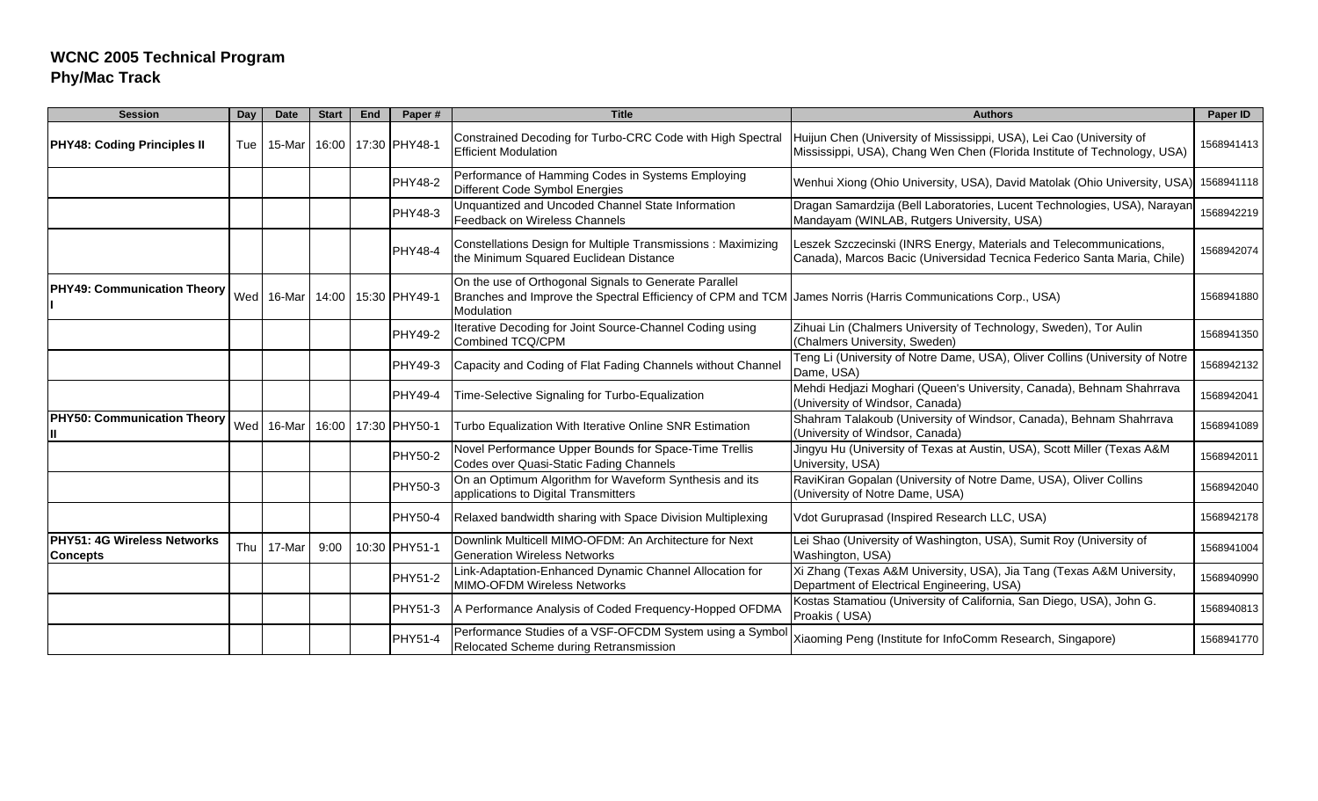| <b>Session</b>                                        | Day | <b>Date</b> | <b>Start</b> | End | Paper#         | <b>Title</b>                                                                                                                                                                       | <b>Authors</b>                                                                                                                                   | Paper ID   |
|-------------------------------------------------------|-----|-------------|--------------|-----|----------------|------------------------------------------------------------------------------------------------------------------------------------------------------------------------------------|--------------------------------------------------------------------------------------------------------------------------------------------------|------------|
| <b>PHY48: Coding Principles II</b>                    | Tue | 15-Mar      | 16:00        |     | 17:30 PHY48-1  | Constrained Decoding for Turbo-CRC Code with High Spectral<br><b>Efficient Modulation</b>                                                                                          | Huijun Chen (University of Mississippi, USA), Lei Cao (University of<br>Mississippi, USA), Chang Wen Chen (Florida Institute of Technology, USA) | 1568941413 |
|                                                       |     |             |              |     | <b>PHY48-2</b> | Performance of Hamming Codes in Systems Employing<br>Different Code Symbol Energies                                                                                                | Wenhui Xiong (Ohio University, USA), David Matolak (Ohio University, USA)                                                                        | 1568941118 |
|                                                       |     |             |              |     | <b>PHY48-3</b> | Unquantized and Uncoded Channel State Information<br>Feedback on Wireless Channels                                                                                                 | Dragan Samardzija (Bell Laboratories, Lucent Technologies, USA), Narayan<br>Mandayam (WINLAB, Rutgers University, USA)                           | 1568942219 |
|                                                       |     |             |              |     | PHY48-4        | Constellations Design for Multiple Transmissions: Maximizing<br>the Minimum Squared Euclidean Distance                                                                             | Leszek Szczecinski (INRS Energy, Materials and Telecommunications,<br>Canada), Marcos Bacic (Universidad Tecnica Federico Santa Maria, Chile)    | 1568942074 |
| <b>PHY49: Communication Theory</b>                    |     | Wed 16-Mar  | 14:00        |     | 15:30 PHY49-1  | On the use of Orthogonal Signals to Generate Parallel<br>Branches and Improve the Spectral Efficiency of CPM and TCM James Norris (Harris Communications Corp., USA)<br>Modulation |                                                                                                                                                  | 1568941880 |
|                                                       |     |             |              |     | <b>PHY49-2</b> | Iterative Decoding for Joint Source-Channel Coding using<br>Combined TCQ/CPM                                                                                                       | Zihuai Lin (Chalmers University of Technology, Sweden), Tor Aulin<br>(Chalmers University, Sweden)                                               | 1568941350 |
|                                                       |     |             |              |     | <b>PHY49-3</b> | Capacity and Coding of Flat Fading Channels without Channel                                                                                                                        | Teng Li (University of Notre Dame, USA), Oliver Collins (University of Notre<br>Dame, USA)                                                       | 1568942132 |
|                                                       |     |             |              |     | <b>PHY49-4</b> | Time-Selective Signaling for Turbo-Equalization                                                                                                                                    | Mehdi Hedjazi Moghari (Queen's University, Canada), Behnam Shahrrava<br>(University of Windsor, Canada)                                          | 1568942041 |
| <b>PHY50: Communication Theory</b><br>Ш               |     | Wed 16-Mar  | 16:00        |     | 17:30 PHY50-1  | Turbo Equalization With Iterative Online SNR Estimation                                                                                                                            | Shahram Talakoub (University of Windsor, Canada), Behnam Shahrrava<br>(University of Windsor, Canada)                                            | 1568941089 |
|                                                       |     |             |              |     | <b>PHY50-2</b> | Novel Performance Upper Bounds for Space-Time Trellis<br>Codes over Quasi-Static Fading Channels                                                                                   | Jingyu Hu (University of Texas at Austin, USA), Scott Miller (Texas A&M<br>University, USA)                                                      | 1568942011 |
|                                                       |     |             |              |     | <b>PHY50-3</b> | On an Optimum Algorithm for Waveform Synthesis and its<br>applications to Digital Transmitters                                                                                     | RaviKiran Gopalan (University of Notre Dame, USA), Oliver Collins<br>(University of Notre Dame, USA)                                             | 1568942040 |
|                                                       |     |             |              |     | <b>PHY50-4</b> | Relaxed bandwidth sharing with Space Division Multiplexing                                                                                                                         | Vdot Guruprasad (Inspired Research LLC, USA)                                                                                                     | 1568942178 |
| <b>PHY51: 4G Wireless Networks</b><br><b>Concepts</b> | Thu | 17-Mar      | 9:00         |     | 10:30 PHY51-1  | Downlink Multicell MIMO-OFDM: An Architecture for Next<br><b>Generation Wireless Networks</b>                                                                                      | Lei Shao (University of Washington, USA), Sumit Roy (University of<br>Washington, USA)                                                           | 1568941004 |
|                                                       |     |             |              |     | <b>PHY51-2</b> | Link-Adaptation-Enhanced Dynamic Channel Allocation for<br><b>MIMO-OFDM Wireless Networks</b>                                                                                      | Xi Zhang (Texas A&M University, USA), Jia Tang (Texas A&M University,<br>Department of Electrical Engineering, USA)                              | 1568940990 |
|                                                       |     |             |              |     | <b>PHY51-3</b> | A Performance Analysis of Coded Frequency-Hopped OFDMA                                                                                                                             | Kostas Stamatiou (University of California, San Diego, USA), John G.<br>Proakis (USA)                                                            | 1568940813 |
|                                                       |     |             |              |     | PHY51-4        | Performance Studies of a VSF-OFCDM System using a Symbol<br>Relocated Scheme during Retransmission                                                                                 | Xiaoming Peng (Institute for InfoComm Research, Singapore)                                                                                       | 1568941770 |